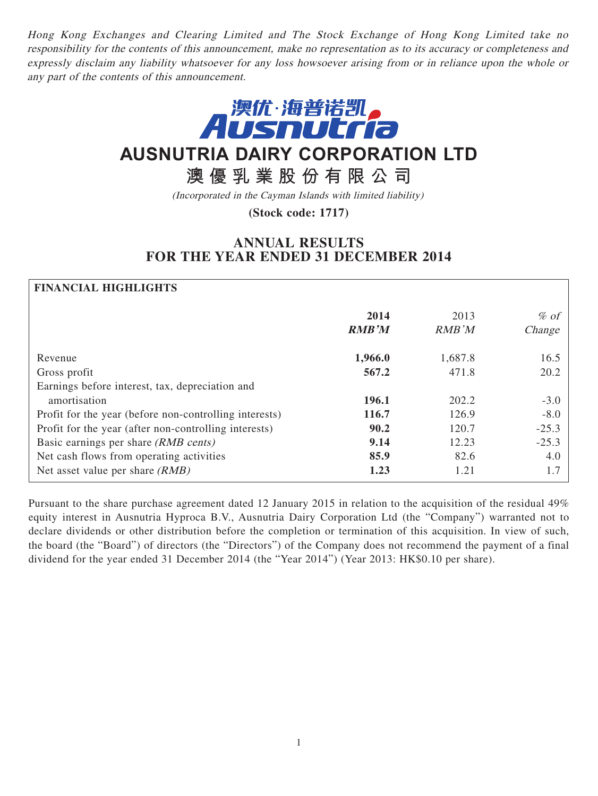Hong Kong Exchanges and Clearing Limited and The Stock Exchange of Hong Kong Limited take no responsibility for the contents of this announcement, make no representation as to its accuracy or completeness and expressly disclaim any liability whatsoever for any loss howsoever arising from or in reliance upon the whole or any part of the contents of this announcement.



# **AUSNUTRIA DAIRY CORPORATION LTD**

# **澳優乳業股份有限公司**

(Incorporated in the Cayman Islands with limited liability)

**(Stock code: 1717)**

# **ANNUAL RESULTS FOR THE YEAR ENDED 31 DECEMBER 2014**

# **FINANCIAL HIGHLIGHTS**

|                                                        | 2014<br><b>RMB'M</b> | 2013<br>RMB'M | $%$ of<br>Change |
|--------------------------------------------------------|----------------------|---------------|------------------|
| Revenue                                                | 1,966.0              | 1,687.8       | 16.5             |
| Gross profit                                           | 567.2                | 471.8         | 20.2             |
| Earnings before interest, tax, depreciation and        |                      |               |                  |
| amortisation                                           | 196.1                | 202.2         | $-3.0$           |
| Profit for the year (before non-controlling interests) | <b>116.7</b>         | 126.9         | $-8.0$           |
| Profit for the year (after non-controlling interests)  | 90.2                 | 120.7         | $-25.3$          |
| Basic earnings per share (RMB cents)                   | 9.14                 | 12.23         | $-25.3$          |
| Net cash flows from operating activities               | 85.9                 | 82.6          | 4.0              |
| Net asset value per share $(RMB)$                      | 1.23                 | 1.21          | 1.7              |

Pursuant to the share purchase agreement dated 12 January 2015 in relation to the acquisition of the residual 49% equity interest in Ausnutria Hyproca B.V., Ausnutria Dairy Corporation Ltd (the "Company") warranted not to declare dividends or other distribution before the completion or termination of this acquisition. In view of such, the board (the "Board") of directors (the "Directors") of the Company does not recommend the payment of a final dividend for the year ended 31 December 2014 (the "Year 2014") (Year 2013: HK\$0.10 per share).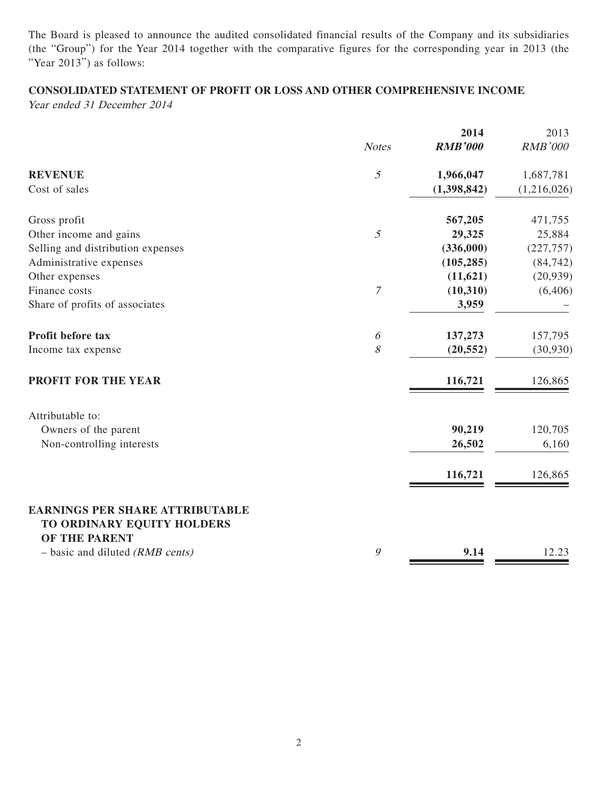The Board is pleased to announce the audited consolidated financial results of the Company and its subsidiaries (the "Group") for the Year 2014 together with the comparative figures for the corresponding year in 2013 (the "Year 2013") as follows:

# **CONSOLIDATED STATEMENT OF PROFIT OR LOSS AND OTHER COMPREHENSIVE INCOME**

Year ended 31 December 2014

|                                                                      |                  | 2014           | 2013        |
|----------------------------------------------------------------------|------------------|----------------|-------------|
|                                                                      | <b>Notes</b>     | <b>RMB'000</b> | RMB'000     |
| <b>REVENUE</b>                                                       | $\mathfrak{I}$   | 1,966,047      | 1,687,781   |
| Cost of sales                                                        |                  | (1,398,842)    | (1,216,026) |
| Gross profit                                                         |                  | 567,205        | 471,755     |
| Other income and gains                                               | $\mathfrak{H}$   | 29,325         | 25,884      |
| Selling and distribution expenses                                    |                  | (336,000)      | (227, 757)  |
| Administrative expenses                                              |                  | (105, 285)     | (84, 742)   |
| Other expenses                                                       |                  | (11, 621)      | (20, 939)   |
| Finance costs                                                        | $\boldsymbol{7}$ | (10, 310)      | (6,406)     |
| Share of profits of associates                                       |                  | 3,959          |             |
| Profit before tax                                                    | 6                | 137,273        | 157,795     |
| Income tax expense                                                   | 8                | (20, 552)      | (30, 930)   |
| PROFIT FOR THE YEAR                                                  |                  | 116,721        | 126,865     |
| Attributable to:                                                     |                  |                |             |
| Owners of the parent                                                 |                  | 90,219         | 120,705     |
| Non-controlling interests                                            |                  | 26,502         | 6,160       |
|                                                                      |                  | 116,721        | 126,865     |
| <b>EARNINGS PER SHARE ATTRIBUTABLE</b><br>TO ORDINARY EQUITY HOLDERS |                  |                |             |
| OF THE PARENT                                                        |                  |                |             |
| $-$ basic and diluted (RMB cents)                                    | 9                | 9.14           | 12.23       |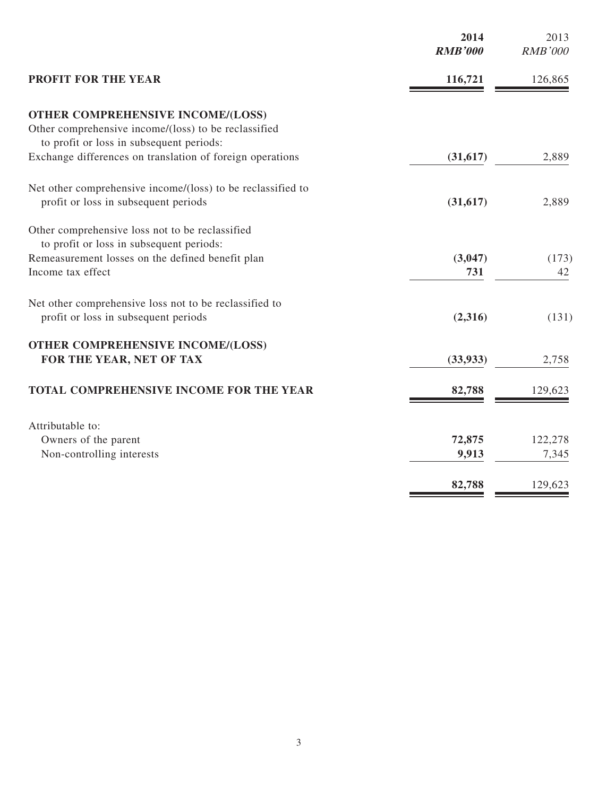|                                                             | 2014<br><b>RMB'000</b> | 2013<br><b>RMB'000</b> |
|-------------------------------------------------------------|------------------------|------------------------|
| <b>PROFIT FOR THE YEAR</b>                                  | 116,721                | 126,865                |
| <b>OTHER COMPREHENSIVE INCOME/(LOSS)</b>                    |                        |                        |
| Other comprehensive income/(loss) to be reclassified        |                        |                        |
| to profit or loss in subsequent periods:                    |                        |                        |
| Exchange differences on translation of foreign operations   | (31, 617)              | 2,889                  |
| Net other comprehensive income/(loss) to be reclassified to |                        |                        |
| profit or loss in subsequent periods                        | (31, 617)              | 2,889                  |
| Other comprehensive loss not to be reclassified             |                        |                        |
| to profit or loss in subsequent periods:                    |                        |                        |
| Remeasurement losses on the defined benefit plan            | (3,047)                | (173)                  |
| Income tax effect                                           | 731                    | 42                     |
| Net other comprehensive loss not to be reclassified to      |                        |                        |
| profit or loss in subsequent periods                        | (2,316)                | (131)                  |
| <b>OTHER COMPREHENSIVE INCOME/(LOSS)</b>                    |                        |                        |
| FOR THE YEAR, NET OF TAX                                    | (33, 933)              | 2,758                  |
| TOTAL COMPREHENSIVE INCOME FOR THE YEAR                     | 82,788                 | 129,623                |
|                                                             |                        |                        |
| Attributable to:                                            |                        |                        |
| Owners of the parent                                        | 72,875                 | 122,278                |
| Non-controlling interests                                   | 9,913                  | 7,345                  |
|                                                             | 82,788                 | 129,623                |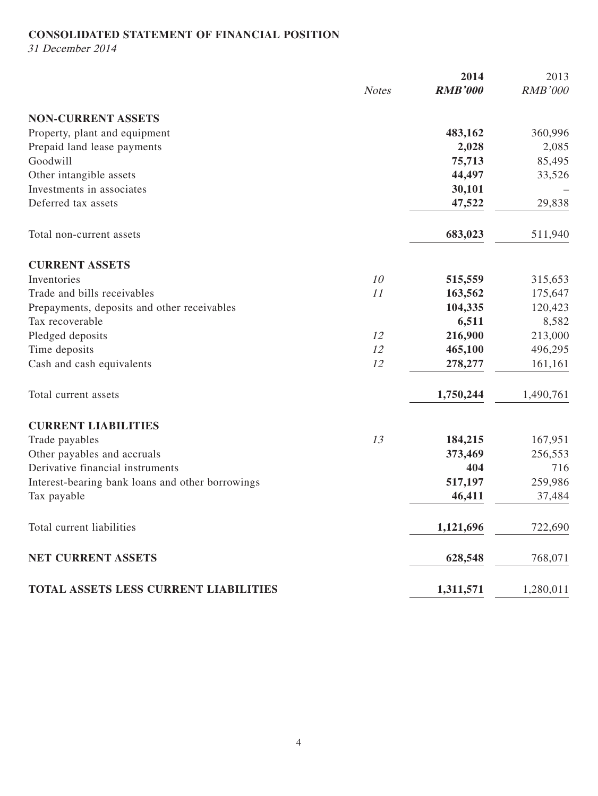# **CONSOLIDATED STATEMENT OF FINANCIAL POSITION**

31 December 2014

|                                                  |              | 2014           | 2013           |
|--------------------------------------------------|--------------|----------------|----------------|
|                                                  | <b>Notes</b> | <b>RMB'000</b> | <b>RMB'000</b> |
| <b>NON-CURRENT ASSETS</b>                        |              |                |                |
| Property, plant and equipment                    |              | 483,162        | 360,996        |
| Prepaid land lease payments                      |              | 2,028          | 2,085          |
| Goodwill                                         |              | 75,713         | 85,495         |
| Other intangible assets                          |              | 44,497         | 33,526         |
| Investments in associates                        |              | 30,101         |                |
| Deferred tax assets                              |              | 47,522         | 29,838         |
| Total non-current assets                         |              | 683,023        | 511,940        |
| <b>CURRENT ASSETS</b>                            |              |                |                |
| Inventories                                      | 10           | 515,559        | 315,653        |
| Trade and bills receivables                      | 11           | 163,562        | 175,647        |
| Prepayments, deposits and other receivables      |              | 104,335        | 120,423        |
| Tax recoverable                                  |              | 6,511          | 8,582          |
| Pledged deposits                                 | 12           | 216,900        | 213,000        |
| Time deposits                                    | 12           | 465,100        | 496,295        |
| Cash and cash equivalents                        | 12           | 278,277        | 161,161        |
| Total current assets                             |              | 1,750,244      | 1,490,761      |
| <b>CURRENT LIABILITIES</b>                       |              |                |                |
| Trade payables                                   | 13           | 184,215        | 167,951        |
| Other payables and accruals                      |              | 373,469        | 256,553        |
| Derivative financial instruments                 |              | 404            | 716            |
| Interest-bearing bank loans and other borrowings |              | 517,197        | 259,986        |
| Tax payable                                      |              | 46,411         | 37,484         |
| Total current liabilities                        |              | 1,121,696      | 722,690        |
| NET CURRENT ASSETS                               |              | 628,548        | 768,071        |
| TOTAL ASSETS LESS CURRENT LIABILITIES            |              | 1,311,571      | 1,280,011      |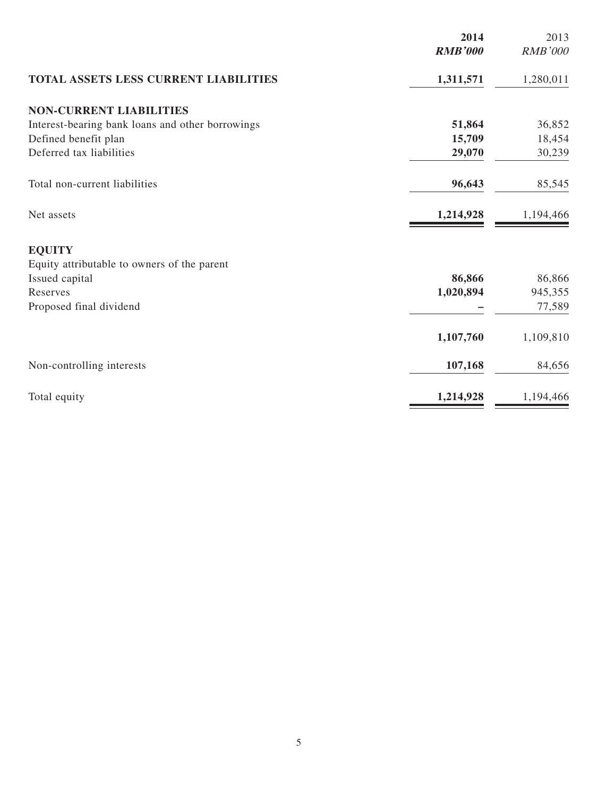|                                                  | 2014<br><b>RMB'000</b> | 2013<br><b>RMB'000</b> |
|--------------------------------------------------|------------------------|------------------------|
|                                                  |                        |                        |
| <b>TOTAL ASSETS LESS CURRENT LIABILITIES</b>     | 1,311,571              | 1,280,011              |
| <b>NON-CURRENT LIABILITIES</b>                   |                        |                        |
| Interest-bearing bank loans and other borrowings | 51,864                 | 36,852                 |
| Defined benefit plan                             | 15,709                 | 18,454                 |
| Deferred tax liabilities                         | 29,070                 | 30,239                 |
| Total non-current liabilities                    | 96,643                 | 85,545                 |
| Net assets                                       | 1,214,928              | 1,194,466              |
| <b>EQUITY</b>                                    |                        |                        |
| Equity attributable to owners of the parent      |                        |                        |
| Issued capital                                   | 86,866                 | 86,866                 |
| Reserves                                         | 1,020,894              | 945,355                |
| Proposed final dividend                          |                        | 77,589                 |
|                                                  | 1,107,760              | 1,109,810              |
| Non-controlling interests                        | 107,168                | 84,656                 |
| Total equity                                     | 1,214,928              | 1,194,466              |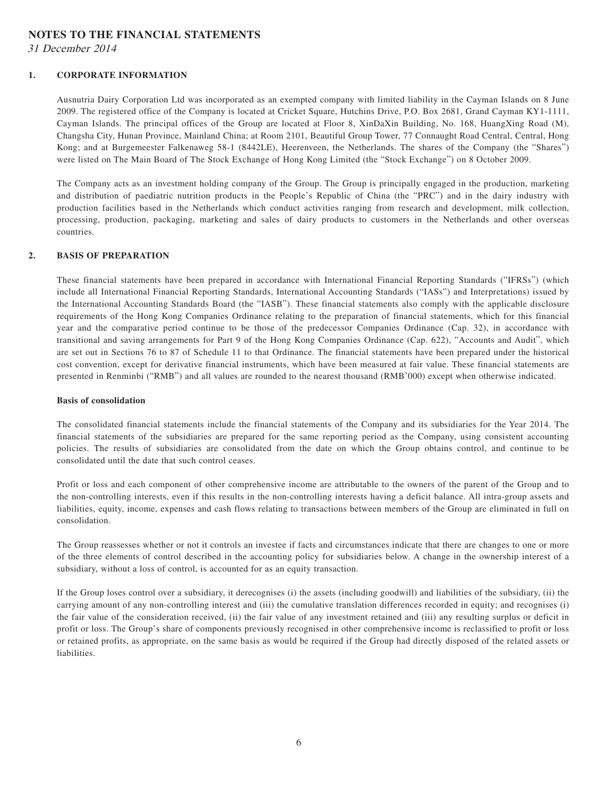#### **NOTES TO THE FINANCIAL STATEMENTS**

31 December 2014

#### **1. CORPORATE INFORMATION**

Ausnutria Dairy Corporation Ltd was incorporated as an exempted company with limited liability in the Cayman Islands on 8 June 2009. The registered office of the Company is located at Cricket Square, Hutchins Drive, P.O. Box 2681, Grand Cayman KY1-1111, Cayman Islands. The principal offices of the Group are located at Floor 8, XinDaXin Building, No. 168, HuangXing Road (M), Changsha City, Hunan Province, Mainland China; at Room 2101, Beautiful Group Tower, 77 Connaught Road Central, Central, Hong Kong; and at Burgemeester Falkenaweg 58-1 (8442LE), Heerenveen, the Netherlands. The shares of the Company (the "Shares") were listed on The Main Board of The Stock Exchange of Hong Kong Limited (the "Stock Exchange") on 8 October 2009.

The Company acts as an investment holding company of the Group. The Group is principally engaged in the production, marketing and distribution of paediatric nutrition products in the People's Republic of China (the "PRC") and in the dairy industry with production facilities based in the Netherlands which conduct activities ranging from research and development, milk collection, processing, production, packaging, marketing and sales of dairy products to customers in the Netherlands and other overseas countries.

#### **2. BASIS OF PREPARATION**

These financial statements have been prepared in accordance with International Financial Reporting Standards ("IFRSs") (which include all International Financial Reporting Standards, International Accounting Standards ("IASs") and Interpretations) issued by the International Accounting Standards Board (the "IASB"). These financial statements also comply with the applicable disclosure requirements of the Hong Kong Companies Ordinance relating to the preparation of financial statements, which for this financial year and the comparative period continue to be those of the predecessor Companies Ordinance (Cap. 32), in accordance with transitional and saving arrangements for Part 9 of the Hong Kong Companies Ordinance (Cap. 622), "Accounts and Audit", which are set out in Sections 76 to 87 of Schedule 11 to that Ordinance. The financial statements have been prepared under the historical cost convention, except for derivative financial instruments, which have been measured at fair value. These financial statements are presented in Renminbi ("RMB") and all values are rounded to the nearest thousand (RMB'000) except when otherwise indicated.

#### **Basis of consolidation**

The consolidated financial statements include the financial statements of the Company and its subsidiaries for the Year 2014. The financial statements of the subsidiaries are prepared for the same reporting period as the Company, using consistent accounting policies. The results of subsidiaries are consolidated from the date on which the Group obtains control, and continue to be consolidated until the date that such control ceases.

Profit or loss and each component of other comprehensive income are attributable to the owners of the parent of the Group and to the non-controlling interests, even if this results in the non-controlling interests having a deficit balance. All intra-group assets and liabilities, equity, income, expenses and cash flows relating to transactions between members of the Group are eliminated in full on consolidation.

The Group reassesses whether or not it controls an investee if facts and circumstances indicate that there are changes to one or more of the three elements of control described in the accounting policy for subsidiaries below. A change in the ownership interest of a subsidiary, without a loss of control, is accounted for as an equity transaction.

If the Group loses control over a subsidiary, it derecognises (i) the assets (including goodwill) and liabilities of the subsidiary, (ii) the carrying amount of any non-controlling interest and (iii) the cumulative translation differences recorded in equity; and recognises (i) the fair value of the consideration received, (ii) the fair value of any investment retained and (iii) any resulting surplus or deficit in profit or loss. The Group's share of components previously recognised in other comprehensive income is reclassified to profit or loss or retained profits, as appropriate, on the same basis as would be required if the Group had directly disposed of the related assets or liabilities.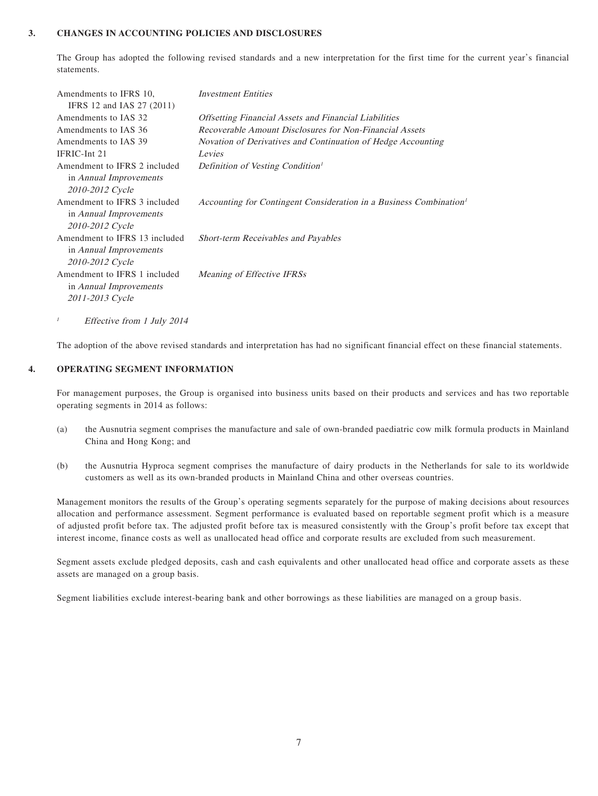#### **3. CHANGES IN ACCOUNTING POLICIES AND DISCLOSURES**

The Group has adopted the following revised standards and a new interpretation for the first time for the current year's financial statements.

| Amendments to IFRS 10,        | <b>Investment Entities</b>                                                     |
|-------------------------------|--------------------------------------------------------------------------------|
| IFRS 12 and IAS 27 (2011)     |                                                                                |
| Amendments to IAS 32          | <b>Offsetting Financial Assets and Financial Liabilities</b>                   |
| Amendments to IAS 36          | Recoverable Amount Disclosures for Non-Financial Assets                        |
| Amendments to IAS 39          | Novation of Derivatives and Continuation of Hedge Accounting                   |
| IFRIC-Int 21                  | Levies                                                                         |
| Amendment to IFRS 2 included  | Definition of Vesting Condition <sup>1</sup>                                   |
| in <i>Annual Improvements</i> |                                                                                |
| 2010-2012 Cycle               |                                                                                |
| Amendment to IFRS 3 included  | Accounting for Contingent Consideration in a Business Combination <sup>1</sup> |
| in <i>Annual Improvements</i> |                                                                                |
| 2010-2012 Cycle               |                                                                                |
| Amendment to IFRS 13 included | <b>Short-term Receivables and Payables</b>                                     |
| in <i>Annual Improvements</i> |                                                                                |
| 2010-2012 Cycle               |                                                                                |
| Amendment to IFRS 1 included  | Meaning of Effective IFRSs                                                     |
| in Annual Improvements        |                                                                                |
| 2011-2013 Cycle               |                                                                                |
|                               |                                                                                |

<sup>1</sup> Effective from 1 July 2014

The adoption of the above revised standards and interpretation has had no significant financial effect on these financial statements.

#### **4. OPERATING SEGMENT INFORMATION**

For management purposes, the Group is organised into business units based on their products and services and has two reportable operating segments in 2014 as follows:

- (a) the Ausnutria segment comprises the manufacture and sale of own-branded paediatric cow milk formula products in Mainland China and Hong Kong; and
- (b) the Ausnutria Hyproca segment comprises the manufacture of dairy products in the Netherlands for sale to its worldwide customers as well as its own-branded products in Mainland China and other overseas countries.

Management monitors the results of the Group's operating segments separately for the purpose of making decisions about resources allocation and performance assessment. Segment performance is evaluated based on reportable segment profit which is a measure of adjusted profit before tax. The adjusted profit before tax is measured consistently with the Group's profit before tax except that interest income, finance costs as well as unallocated head office and corporate results are excluded from such measurement.

Segment assets exclude pledged deposits, cash and cash equivalents and other unallocated head office and corporate assets as these assets are managed on a group basis.

Segment liabilities exclude interest-bearing bank and other borrowings as these liabilities are managed on a group basis.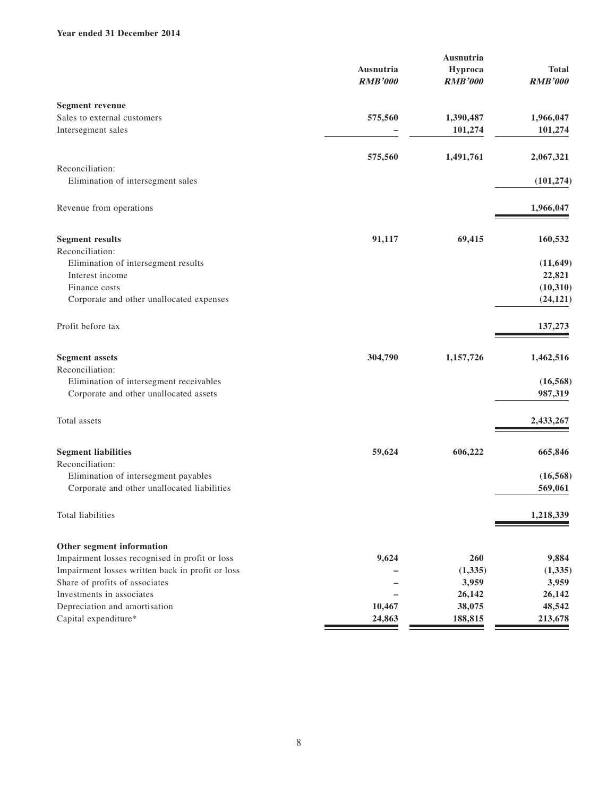#### **Year ended 31 December 2014**

| Ausnutria<br>Hyproca<br><b>RMB'000</b><br><b>RMB'000</b><br><b>Segment revenue</b><br>Sales to external customers<br>575,560<br>1,390,487<br>Intersegment sales<br>101,274<br>575,560<br>1,491,761<br>Reconciliation:<br>Elimination of intersegment sales<br>Revenue from operations<br><b>Segment results</b><br>91,117<br>69,415<br>Reconciliation:<br>Elimination of intersegment results<br>Interest income<br>Finance costs<br>Corporate and other unallocated expenses<br>Profit before tax<br><b>Segment assets</b><br>304,790<br>1,157,726<br>Reconciliation:<br>Elimination of intersegment receivables<br>Corporate and other unallocated assets<br>Total assets<br>606,222<br><b>Segment liabilities</b><br>59,624<br>Reconciliation:<br>Elimination of intersegment payables<br>Corporate and other unallocated liabilities<br>Total liabilities<br>Other segment information<br>Impairment losses recognised in profit or loss<br>9,624<br>260<br>Impairment losses written back in profit or loss<br>(1, 335)<br>Share of profits of associates<br>3,959<br>Investments in associates<br>26,142<br>Depreciation and amortisation<br>10,467<br>38,075 |                      | Ausnutria |                |
|---------------------------------------------------------------------------------------------------------------------------------------------------------------------------------------------------------------------------------------------------------------------------------------------------------------------------------------------------------------------------------------------------------------------------------------------------------------------------------------------------------------------------------------------------------------------------------------------------------------------------------------------------------------------------------------------------------------------------------------------------------------------------------------------------------------------------------------------------------------------------------------------------------------------------------------------------------------------------------------------------------------------------------------------------------------------------------------------------------------------------------------------------------------------|----------------------|-----------|----------------|
|                                                                                                                                                                                                                                                                                                                                                                                                                                                                                                                                                                                                                                                                                                                                                                                                                                                                                                                                                                                                                                                                                                                                                                     |                      |           | <b>Total</b>   |
|                                                                                                                                                                                                                                                                                                                                                                                                                                                                                                                                                                                                                                                                                                                                                                                                                                                                                                                                                                                                                                                                                                                                                                     |                      |           | <b>RMB'000</b> |
|                                                                                                                                                                                                                                                                                                                                                                                                                                                                                                                                                                                                                                                                                                                                                                                                                                                                                                                                                                                                                                                                                                                                                                     |                      |           |                |
|                                                                                                                                                                                                                                                                                                                                                                                                                                                                                                                                                                                                                                                                                                                                                                                                                                                                                                                                                                                                                                                                                                                                                                     |                      |           | 1,966,047      |
|                                                                                                                                                                                                                                                                                                                                                                                                                                                                                                                                                                                                                                                                                                                                                                                                                                                                                                                                                                                                                                                                                                                                                                     |                      |           | 101,274        |
|                                                                                                                                                                                                                                                                                                                                                                                                                                                                                                                                                                                                                                                                                                                                                                                                                                                                                                                                                                                                                                                                                                                                                                     |                      |           | 2,067,321      |
|                                                                                                                                                                                                                                                                                                                                                                                                                                                                                                                                                                                                                                                                                                                                                                                                                                                                                                                                                                                                                                                                                                                                                                     |                      |           |                |
|                                                                                                                                                                                                                                                                                                                                                                                                                                                                                                                                                                                                                                                                                                                                                                                                                                                                                                                                                                                                                                                                                                                                                                     |                      |           | (101, 274)     |
|                                                                                                                                                                                                                                                                                                                                                                                                                                                                                                                                                                                                                                                                                                                                                                                                                                                                                                                                                                                                                                                                                                                                                                     |                      |           | 1,966,047      |
|                                                                                                                                                                                                                                                                                                                                                                                                                                                                                                                                                                                                                                                                                                                                                                                                                                                                                                                                                                                                                                                                                                                                                                     |                      |           | 160,532        |
|                                                                                                                                                                                                                                                                                                                                                                                                                                                                                                                                                                                                                                                                                                                                                                                                                                                                                                                                                                                                                                                                                                                                                                     |                      |           |                |
|                                                                                                                                                                                                                                                                                                                                                                                                                                                                                                                                                                                                                                                                                                                                                                                                                                                                                                                                                                                                                                                                                                                                                                     |                      |           | (11, 649)      |
|                                                                                                                                                                                                                                                                                                                                                                                                                                                                                                                                                                                                                                                                                                                                                                                                                                                                                                                                                                                                                                                                                                                                                                     |                      |           | 22,821         |
|                                                                                                                                                                                                                                                                                                                                                                                                                                                                                                                                                                                                                                                                                                                                                                                                                                                                                                                                                                                                                                                                                                                                                                     |                      |           | (10, 310)      |
|                                                                                                                                                                                                                                                                                                                                                                                                                                                                                                                                                                                                                                                                                                                                                                                                                                                                                                                                                                                                                                                                                                                                                                     |                      |           | (24, 121)      |
|                                                                                                                                                                                                                                                                                                                                                                                                                                                                                                                                                                                                                                                                                                                                                                                                                                                                                                                                                                                                                                                                                                                                                                     |                      |           | 137,273        |
|                                                                                                                                                                                                                                                                                                                                                                                                                                                                                                                                                                                                                                                                                                                                                                                                                                                                                                                                                                                                                                                                                                                                                                     |                      |           | 1,462,516      |
|                                                                                                                                                                                                                                                                                                                                                                                                                                                                                                                                                                                                                                                                                                                                                                                                                                                                                                                                                                                                                                                                                                                                                                     |                      |           |                |
|                                                                                                                                                                                                                                                                                                                                                                                                                                                                                                                                                                                                                                                                                                                                                                                                                                                                                                                                                                                                                                                                                                                                                                     |                      |           | (16, 568)      |
|                                                                                                                                                                                                                                                                                                                                                                                                                                                                                                                                                                                                                                                                                                                                                                                                                                                                                                                                                                                                                                                                                                                                                                     |                      |           | 987,319        |
|                                                                                                                                                                                                                                                                                                                                                                                                                                                                                                                                                                                                                                                                                                                                                                                                                                                                                                                                                                                                                                                                                                                                                                     |                      |           | 2,433,267      |
|                                                                                                                                                                                                                                                                                                                                                                                                                                                                                                                                                                                                                                                                                                                                                                                                                                                                                                                                                                                                                                                                                                                                                                     |                      |           | 665,846        |
|                                                                                                                                                                                                                                                                                                                                                                                                                                                                                                                                                                                                                                                                                                                                                                                                                                                                                                                                                                                                                                                                                                                                                                     |                      |           |                |
|                                                                                                                                                                                                                                                                                                                                                                                                                                                                                                                                                                                                                                                                                                                                                                                                                                                                                                                                                                                                                                                                                                                                                                     |                      |           | (16, 568)      |
|                                                                                                                                                                                                                                                                                                                                                                                                                                                                                                                                                                                                                                                                                                                                                                                                                                                                                                                                                                                                                                                                                                                                                                     |                      |           | 569,061        |
|                                                                                                                                                                                                                                                                                                                                                                                                                                                                                                                                                                                                                                                                                                                                                                                                                                                                                                                                                                                                                                                                                                                                                                     |                      |           | 1,218,339      |
|                                                                                                                                                                                                                                                                                                                                                                                                                                                                                                                                                                                                                                                                                                                                                                                                                                                                                                                                                                                                                                                                                                                                                                     |                      |           |                |
|                                                                                                                                                                                                                                                                                                                                                                                                                                                                                                                                                                                                                                                                                                                                                                                                                                                                                                                                                                                                                                                                                                                                                                     |                      |           | 9,884          |
|                                                                                                                                                                                                                                                                                                                                                                                                                                                                                                                                                                                                                                                                                                                                                                                                                                                                                                                                                                                                                                                                                                                                                                     |                      |           | (1, 335)       |
|                                                                                                                                                                                                                                                                                                                                                                                                                                                                                                                                                                                                                                                                                                                                                                                                                                                                                                                                                                                                                                                                                                                                                                     |                      |           | 3,959          |
|                                                                                                                                                                                                                                                                                                                                                                                                                                                                                                                                                                                                                                                                                                                                                                                                                                                                                                                                                                                                                                                                                                                                                                     |                      |           | 26,142         |
|                                                                                                                                                                                                                                                                                                                                                                                                                                                                                                                                                                                                                                                                                                                                                                                                                                                                                                                                                                                                                                                                                                                                                                     |                      |           | 48,542         |
| 188,815<br>24,863                                                                                                                                                                                                                                                                                                                                                                                                                                                                                                                                                                                                                                                                                                                                                                                                                                                                                                                                                                                                                                                                                                                                                   | Capital expenditure* |           | 213,678        |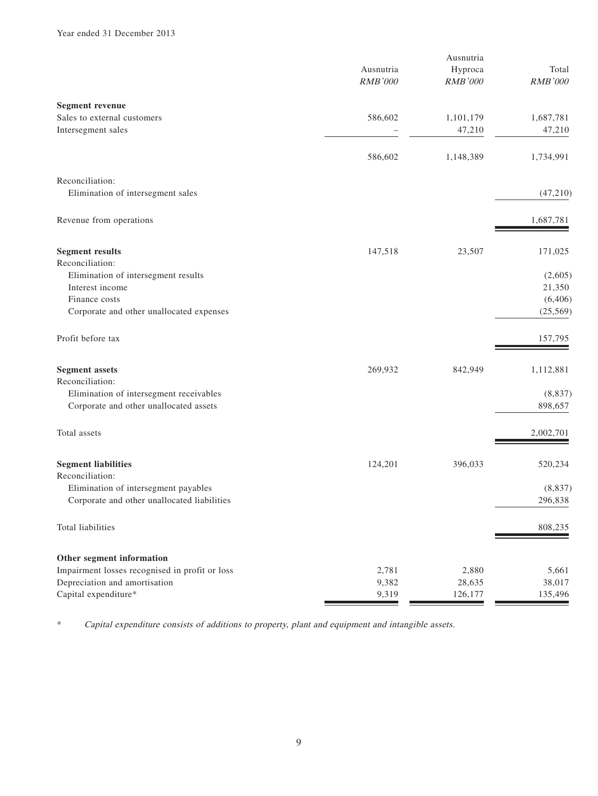|                                                |                | Ausnutria |                |
|------------------------------------------------|----------------|-----------|----------------|
|                                                | Ausnutria      | Hyproca   | Total          |
|                                                | <b>RMB'000</b> | RMB'000   | <b>RMB'000</b> |
| <b>Segment revenue</b>                         |                |           |                |
| Sales to external customers                    | 586,602        | 1,101,179 | 1,687,781      |
| Intersegment sales                             |                | 47,210    | 47,210         |
|                                                | 586,602        | 1,148,389 | 1,734,991      |
| Reconciliation:                                |                |           |                |
| Elimination of intersegment sales              |                |           | (47,210)       |
| Revenue from operations                        |                |           | 1,687,781      |
| <b>Segment results</b>                         | 147,518        | 23,507    | 171,025        |
| Reconciliation:                                |                |           |                |
| Elimination of intersegment results            |                |           | (2,605)        |
| Interest income                                |                |           | 21,350         |
| Finance costs                                  |                |           | (6, 406)       |
| Corporate and other unallocated expenses       |                |           | (25, 569)      |
| Profit before tax                              |                |           | 157,795        |
| <b>Segment assets</b>                          | 269,932        | 842,949   | 1,112,881      |
| Reconciliation:                                |                |           |                |
| Elimination of intersegment receivables        |                |           | (8, 837)       |
| Corporate and other unallocated assets         |                |           | 898,657        |
| Total assets                                   |                |           | 2,002,701      |
| <b>Segment liabilities</b>                     | 124,201        | 396,033   | 520,234        |
| Reconciliation:                                |                |           |                |
| Elimination of intersegment payables           |                |           | (8, 837)       |
| Corporate and other unallocated liabilities    |                |           | 296,838        |
| Total liabilities                              |                |           | 808,235        |
| Other segment information                      |                |           |                |
| Impairment losses recognised in profit or loss | 2,781          | 2,880     | 5,661          |
| Depreciation and amortisation                  | 9,382          | 28,635    | 38,017         |
| Capital expenditure*                           | 9,319          | 126,177   | 135,496        |

\* Capital expenditure consists of additions to property, plant and equipment and intangible assets.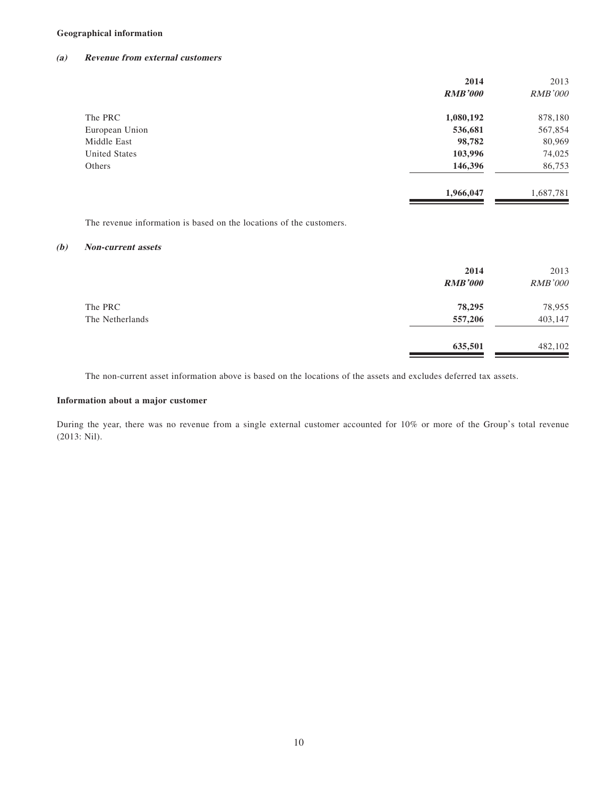#### **Geographical information**

#### **(a) Revenue from external customers**

|                | 2014           | 2013           |
|----------------|----------------|----------------|
|                | <b>RMB'000</b> | <b>RMB'000</b> |
| The PRC        | 1,080,192      | 878,180        |
| European Union | 536,681        | 567,854        |
| Middle East    | 98,782         | 80,969         |
| United States  | 103,996        | 74,025         |
| Others         | 146,396        | 86,753         |
|                | 1,966,047      | 1,687,781      |

The revenue information is based on the locations of the customers.

#### **(b) Non-current assets**

|                 | 2014<br><b>RMB'000</b> | 2013<br><b>RMB'000</b> |
|-----------------|------------------------|------------------------|
| The PRC         | 78,295                 | 78,955                 |
| The Netherlands | 557,206                | 403,147                |
|                 | 635,501                | 482,102                |

The non-current asset information above is based on the locations of the assets and excludes deferred tax assets.

#### **Information about a major customer**

During the year, there was no revenue from a single external customer accounted for 10% or more of the Group's total revenue (2013: Nil).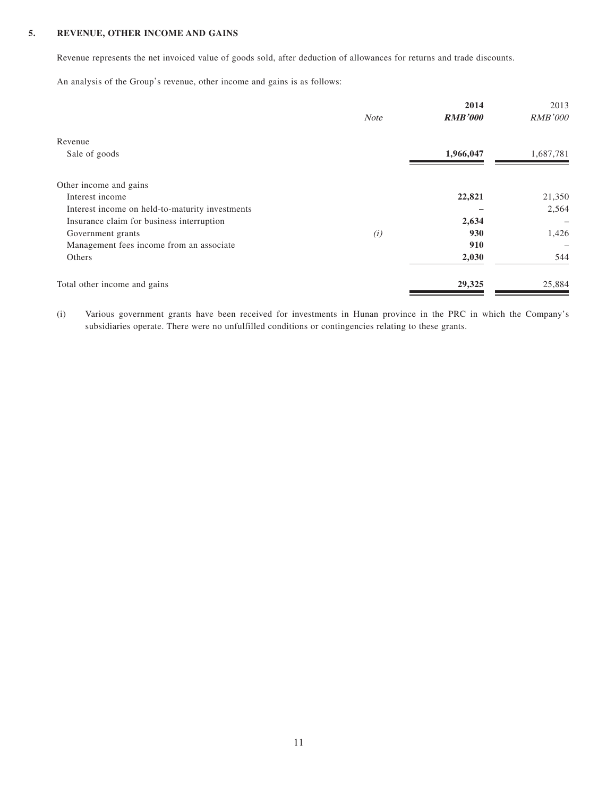#### **5. REVENUE, OTHER INCOME AND GAINS**

Revenue represents the net invoiced value of goods sold, after deduction of allowances for returns and trade discounts.

An analysis of the Group's revenue, other income and gains is as follows:

|             | 2014           | 2013              |
|-------------|----------------|-------------------|
| <b>Note</b> | <b>RMB'000</b> | <b>RMB'000</b>    |
|             |                |                   |
|             | 1,966,047      | 1,687,781         |
|             |                |                   |
|             |                |                   |
|             | 22,821         | 21,350            |
|             |                | 2,564             |
|             | 2,634          | $\hspace{0.05cm}$ |
| (i)         | 930            | 1,426             |
|             | 910            |                   |
|             | 2,030          | 544               |
|             | 29,325         | 25,884            |
|             |                |                   |

(i) Various government grants have been received for investments in Hunan province in the PRC in which the Company's subsidiaries operate. There were no unfulfilled conditions or contingencies relating to these grants.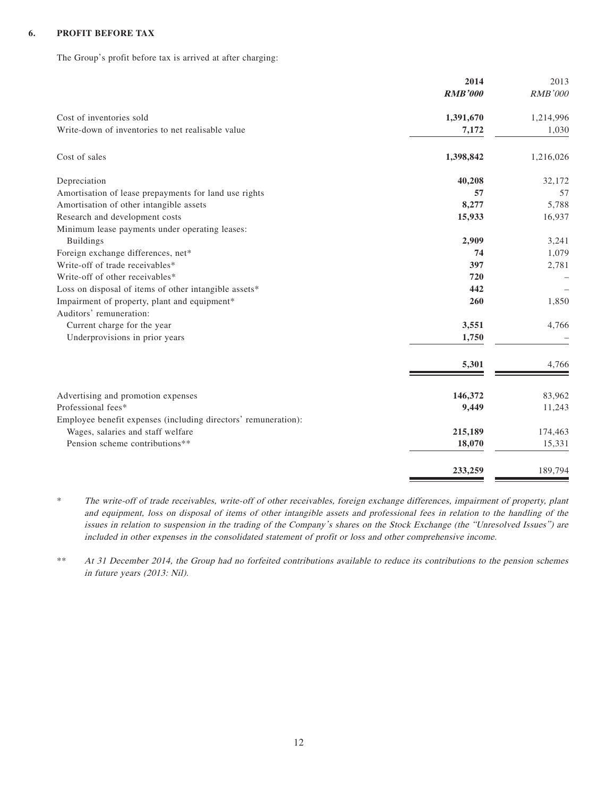#### **6. PROFIT BEFORE TAX**

The Group's profit before tax is arrived at after charging:

|                                                                | 2014           | 2013           |
|----------------------------------------------------------------|----------------|----------------|
|                                                                | <b>RMB'000</b> | <b>RMB'000</b> |
| Cost of inventories sold                                       | 1,391,670      | 1,214,996      |
| Write-down of inventories to net realisable value              | 7,172          | 1,030          |
| Cost of sales                                                  | 1,398,842      | 1,216,026      |
| Depreciation                                                   | 40,208         | 32,172         |
| Amortisation of lease prepayments for land use rights          | 57             | 57             |
| Amortisation of other intangible assets                        | 8,277          | 5,788          |
| Research and development costs                                 | 15,933         | 16,937         |
| Minimum lease payments under operating leases:                 |                |                |
| <b>Buildings</b>                                               | 2,909          | 3,241          |
| Foreign exchange differences, net*                             | 74             | 1,079          |
| Write-off of trade receivables*                                | 397            | 2,781          |
| Write-off of other receivables*                                | 720            |                |
| Loss on disposal of items of other intangible assets*          | 442            |                |
| Impairment of property, plant and equipment*                   | 260            | 1,850          |
| Auditors' remuneration:                                        |                |                |
| Current charge for the year                                    | 3,551          | 4,766          |
| Underprovisions in prior years                                 | 1,750          |                |
|                                                                | 5,301          | 4,766          |
| Advertising and promotion expenses                             | 146,372        | 83,962         |
| Professional fees*                                             | 9,449          | 11,243         |
| Employee benefit expenses (including directors' remuneration): |                |                |
| Wages, salaries and staff welfare                              | 215,189        | 174,463        |
| Pension scheme contributions**                                 | 18,070         | 15,331         |
|                                                                |                |                |
|                                                                | 233,259        | 189,794        |

\* The write-off of trade receivables, write-off of other receivables, foreign exchange differences, impairment of property, plant and equipment, loss on disposal of items of other intangible assets and professional fees in relation to the handling of the issues in relation to suspension in the trading of the Company's shares on the Stock Exchange (the "Unresolved Issues") are included in other expenses in the consolidated statement of profit or loss and other comprehensive income.

\*\* At 31 December 2014, the Group had no forfeited contributions available to reduce its contributions to the pension schemes in future years (2013: Nil).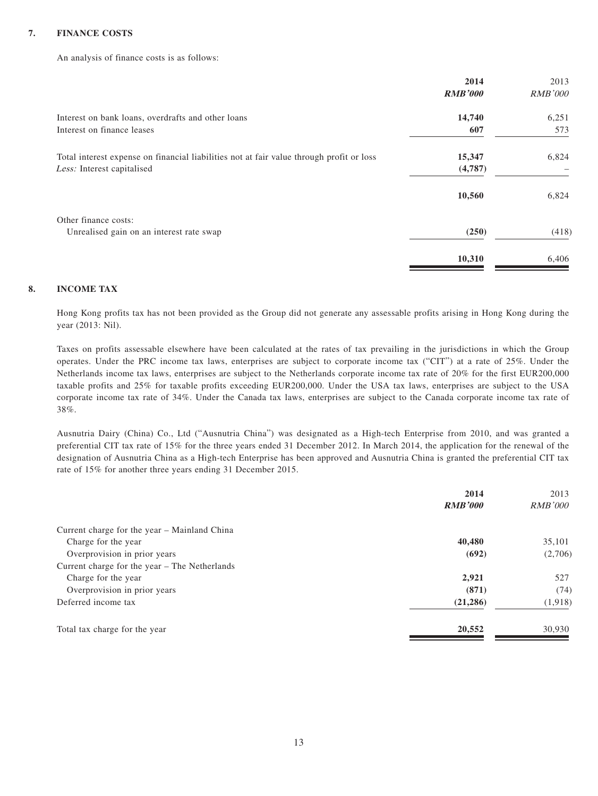#### **7. FINANCE COSTS**

An analysis of finance costs is as follows:

|                                                                                          | 2014           | 2013           |
|------------------------------------------------------------------------------------------|----------------|----------------|
|                                                                                          | <b>RMB'000</b> | <b>RMB'000</b> |
| Interest on bank loans, overdrafts and other loans                                       | 14,740         | 6,251          |
| Interest on finance leases                                                               | 607            | 573            |
| Total interest expense on financial liabilities not at fair value through profit or loss | 15,347         | 6,824          |
| Less: Interest capitalised                                                               | (4,787)        |                |
|                                                                                          | 10,560         | 6,824          |
| Other finance costs:                                                                     |                |                |
| Unrealised gain on an interest rate swap                                                 | (250)          | (418)          |
|                                                                                          | 10,310         | 6,406          |

#### **8. INCOME TAX**

Hong Kong profits tax has not been provided as the Group did not generate any assessable profits arising in Hong Kong during the year (2013: Nil).

Taxes on profits assessable elsewhere have been calculated at the rates of tax prevailing in the jurisdictions in which the Group operates. Under the PRC income tax laws, enterprises are subject to corporate income tax ("CIT") at a rate of 25%. Under the Netherlands income tax laws, enterprises are subject to the Netherlands corporate income tax rate of 20% for the first EUR200,000 taxable profits and 25% for taxable profits exceeding EUR200,000. Under the USA tax laws, enterprises are subject to the USA corporate income tax rate of 34%. Under the Canada tax laws, enterprises are subject to the Canada corporate income tax rate of 38%.

Ausnutria Dairy (China) Co., Ltd ("Ausnutria China") was designated as a High-tech Enterprise from 2010, and was granted a preferential CIT tax rate of 15% for the three years ended 31 December 2012. In March 2014, the application for the renewal of the designation of Ausnutria China as a High-tech Enterprise has been approved and Ausnutria China is granted the preferential CIT tax rate of 15% for another three years ending 31 December 2015.

| 2014           | 2013           |
|----------------|----------------|
| <b>RMB'000</b> | <i>RMB'000</i> |
|                |                |
| 40,480         | 35,101         |
| (692)          | (2,706)        |
|                |                |
| 2,921          | 527            |
| (871)          | (74)           |
| (21, 286)      | (1,918)        |
| 20,552         | 30,930         |
|                |                |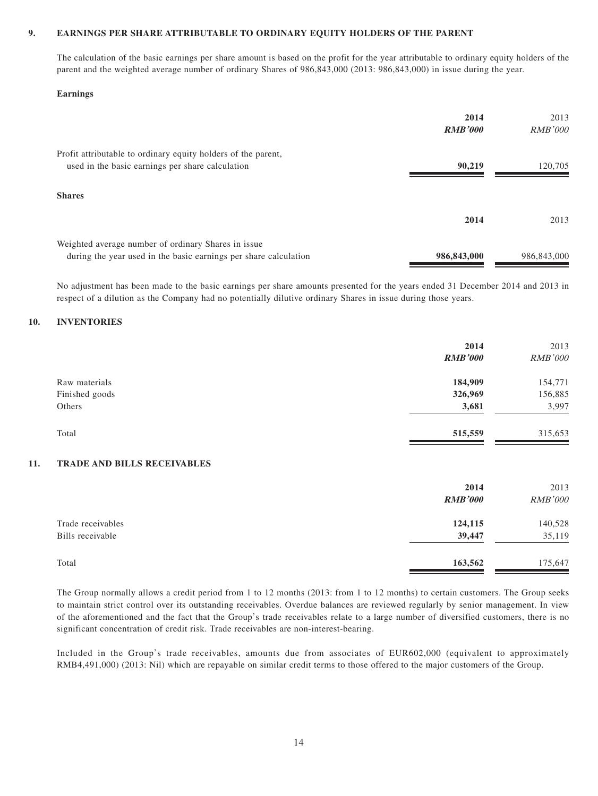#### **9. EARNINGS PER SHARE ATTRIBUTABLE TO ORDINARY EQUITY HOLDERS OF THE PARENT**

The calculation of the basic earnings per share amount is based on the profit for the year attributable to ordinary equity holders of the parent and the weighted average number of ordinary Shares of 986,843,000 (2013: 986,843,000) in issue during the year.

#### **Earnings**

|                                                                  | 2014           | 2013           |
|------------------------------------------------------------------|----------------|----------------|
|                                                                  | <b>RMB'000</b> | <i>RMB'000</i> |
| Profit attributable to ordinary equity holders of the parent,    |                |                |
| used in the basic earnings per share calculation                 | 90.219         | 120,705        |
|                                                                  |                |                |
| <b>Shares</b>                                                    |                |                |
|                                                                  | 2014           | 2013           |
| Weighted average number of ordinary Shares in issue              |                |                |
| during the year used in the basic earnings per share calculation | 986,843,000    | 986,843,000    |

No adjustment has been made to the basic earnings per share amounts presented for the years ended 31 December 2014 and 2013 in respect of a dilution as the Company had no potentially dilutive ordinary Shares in issue during those years.

#### **10. INVENTORIES**

|     |                             | 2014<br><b>RMB'000</b> | 2013<br><b>RMB'000</b> |
|-----|-----------------------------|------------------------|------------------------|
|     |                             |                        |                        |
|     | Raw materials               | 184,909                | 154,771                |
|     | Finished goods              | 326,969                | 156,885                |
|     | Others                      | 3,681                  | 3,997                  |
|     | Total                       | 515,559                | 315,653                |
| 11. | TRADE AND BILLS RECEIVABLES |                        |                        |
|     |                             | 2014                   | 2013                   |
|     |                             | <b>RMB'000</b>         | <b>RMB'000</b>         |
|     | Trade receivables           | 124,115                | 140,528                |
|     | Bills receivable            | 39,447                 | 35,119                 |
|     | Total                       | 163,562                | 175,647                |

The Group normally allows a credit period from 1 to 12 months (2013: from 1 to 12 months) to certain customers. The Group seeks to maintain strict control over its outstanding receivables. Overdue balances are reviewed regularly by senior management. In view of the aforementioned and the fact that the Group's trade receivables relate to a large number of diversified customers, there is no significant concentration of credit risk. Trade receivables are non-interest-bearing.

Included in the Group's trade receivables, amounts due from associates of EUR602,000 (equivalent to approximately RMB4,491,000) (2013: Nil) which are repayable on similar credit terms to those offered to the major customers of the Group.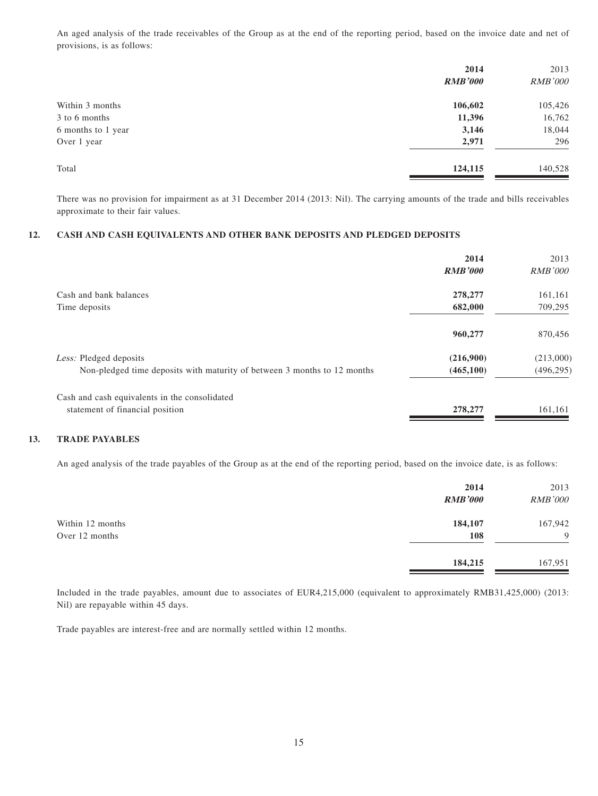An aged analysis of the trade receivables of the Group as at the end of the reporting period, based on the invoice date and net of provisions, is as follows:

| 2014           | 2013           |
|----------------|----------------|
| <b>RMB'000</b> | <b>RMB'000</b> |
| 106,602        | 105,426        |
| 11,396         | 16,762         |
| 3,146          | 18,044         |
| 2,971          | 296            |
| 124,115        | 140,528        |
|                |                |

There was no provision for impairment as at 31 December 2014 (2013: Nil). The carrying amounts of the trade and bills receivables approximate to their fair values.

#### **12. CASH AND CASH EQUIVALENTS AND OTHER BANK DEPOSITS AND PLEDGED DEPOSITS**

|                                                                          | 2014<br><b>RMB'000</b> | 2013<br><i>RMB'000</i> |
|--------------------------------------------------------------------------|------------------------|------------------------|
| Cash and bank balances                                                   | 278,277                | 161,161                |
| Time deposits                                                            | 682,000                | 709,295                |
|                                                                          | 960,277                | 870,456                |
| Less: Pledged deposits                                                   | (216,900)              | (213,000)              |
| Non-pledged time deposits with maturity of between 3 months to 12 months | (465, 100)             | (496, 295)             |
| Cash and cash equivalents in the consolidated                            |                        |                        |
| statement of financial position                                          | 278,277                | 161,161                |

#### **13. TRADE PAYABLES**

An aged analysis of the trade payables of the Group as at the end of the reporting period, based on the invoice date, is as follows:

|                  | 2014           | 2013           |
|------------------|----------------|----------------|
|                  | <b>RMB'000</b> | <b>RMB'000</b> |
| Within 12 months | 184,107        | 167,942        |
| Over 12 months   | 108            | 9              |
|                  | 184,215        | 167,951        |

Included in the trade payables, amount due to associates of EUR4,215,000 (equivalent to approximately RMB31,425,000) (2013: Nil) are repayable within 45 days.

Trade payables are interest-free and are normally settled within 12 months.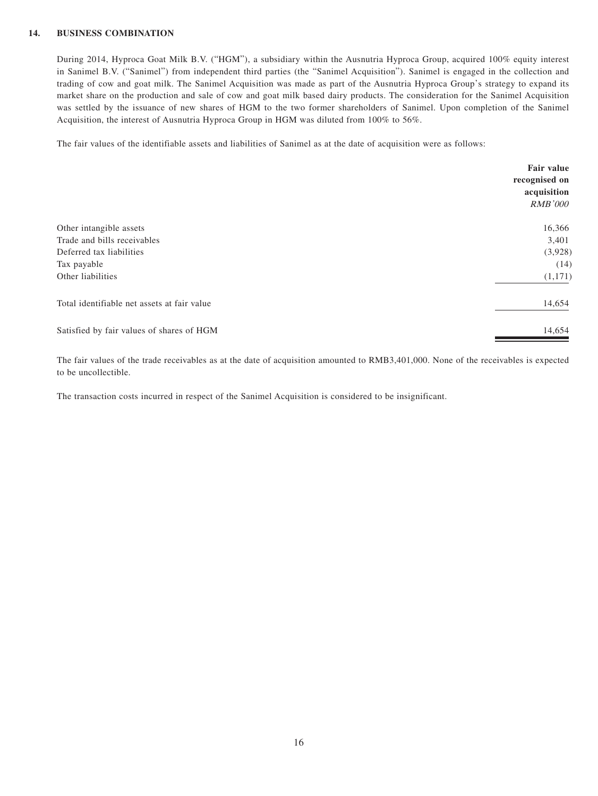#### **14. BUSINESS COMBINATION**

During 2014, Hyproca Goat Milk B.V. ("HGM"), a subsidiary within the Ausnutria Hyproca Group, acquired 100% equity interest in Sanimel B.V. ("Sanimel") from independent third parties (the "Sanimel Acquisition"). Sanimel is engaged in the collection and trading of cow and goat milk. The Sanimel Acquisition was made as part of the Ausnutria Hyproca Group's strategy to expand its market share on the production and sale of cow and goat milk based dairy products. The consideration for the Sanimel Acquisition was settled by the issuance of new shares of HGM to the two former shareholders of Sanimel. Upon completion of the Sanimel Acquisition, the interest of Ausnutria Hyproca Group in HGM was diluted from 100% to 56%.

The fair values of the identifiable assets and liabilities of Sanimel as at the date of acquisition were as follows:

|                                             | Fair value<br>recognised on<br>acquisition<br><b>RMB'000</b> |
|---------------------------------------------|--------------------------------------------------------------|
| Other intangible assets                     | 16,366                                                       |
| Trade and bills receivables                 | 3,401                                                        |
| Deferred tax liabilities                    | (3,928)                                                      |
| Tax payable                                 | (14)                                                         |
| Other liabilities                           | (1,171)                                                      |
| Total identifiable net assets at fair value | 14,654                                                       |
| Satisfied by fair values of shares of HGM   | 14,654                                                       |

The fair values of the trade receivables as at the date of acquisition amounted to RMB3,401,000. None of the receivables is expected to be uncollectible.

The transaction costs incurred in respect of the Sanimel Acquisition is considered to be insignificant.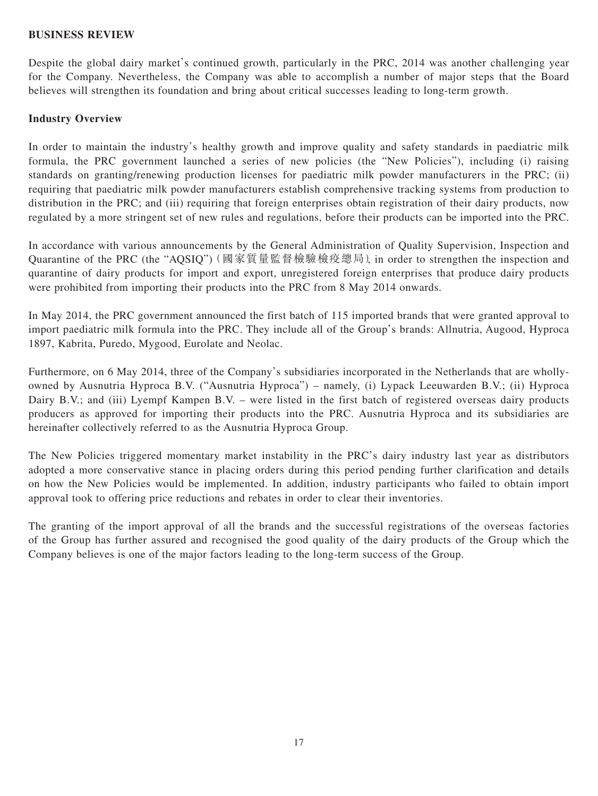#### **BUSINESS REVIEW**

Despite the global dairy market's continued growth, particularly in the PRC, 2014 was another challenging year for the Company. Nevertheless, the Company was able to accomplish a number of major steps that the Board believes will strengthen its foundation and bring about critical successes leading to long-term growth.

#### **Industry Overview**

In order to maintain the industry's healthy growth and improve quality and safety standards in paediatric milk formula, the PRC government launched a series of new policies (the "New Policies"), including (i) raising standards on granting/renewing production licenses for paediatric milk powder manufacturers in the PRC; (ii) requiring that paediatric milk powder manufacturers establish comprehensive tracking systems from production to distribution in the PRC; and (iii) requiring that foreign enterprises obtain registration of their dairy products, now regulated by a more stringent set of new rules and regulations, before their products can be imported into the PRC.

In accordance with various announcements by the General Administration of Quality Supervision, Inspection and Quarantine of the PRC (the "AQSIQ")(國家質量監督檢驗檢疫總局), in order to strengthen the inspection and quarantine of dairy products for import and export, unregistered foreign enterprises that produce dairy products were prohibited from importing their products into the PRC from 8 May 2014 onwards.

In May 2014, the PRC government announced the first batch of 115 imported brands that were granted approval to import paediatric milk formula into the PRC. They include all of the Group's brands: Allnutria, Augood, Hyproca 1897, Kabrita, Puredo, Mygood, Eurolate and Neolac.

Furthermore, on 6 May 2014, three of the Company's subsidiaries incorporated in the Netherlands that are whollyowned by Ausnutria Hyproca B.V. ("Ausnutria Hyproca") – namely, (i) Lypack Leeuwarden B.V.; (ii) Hyproca Dairy B.V.; and (iii) Lyempf Kampen B.V. – were listed in the first batch of registered overseas dairy products producers as approved for importing their products into the PRC. Ausnutria Hyproca and its subsidiaries are hereinafter collectively referred to as the Ausnutria Hyproca Group.

The New Policies triggered momentary market instability in the PRC's dairy industry last year as distributors adopted a more conservative stance in placing orders during this period pending further clarification and details on how the New Policies would be implemented. In addition, industry participants who failed to obtain import approval took to offering price reductions and rebates in order to clear their inventories.

The granting of the import approval of all the brands and the successful registrations of the overseas factories of the Group has further assured and recognised the good quality of the dairy products of the Group which the Company believes is one of the major factors leading to the long-term success of the Group.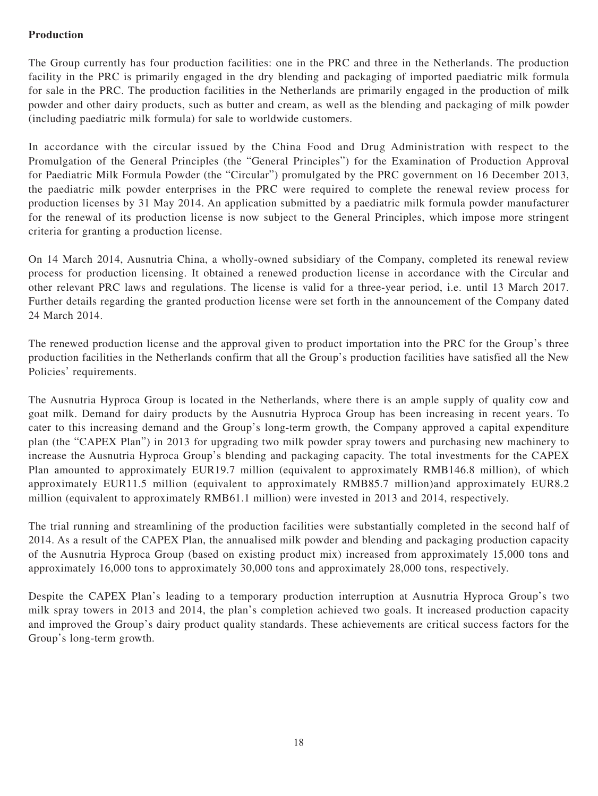# **Production**

The Group currently has four production facilities: one in the PRC and three in the Netherlands. The production facility in the PRC is primarily engaged in the dry blending and packaging of imported paediatric milk formula for sale in the PRC. The production facilities in the Netherlands are primarily engaged in the production of milk powder and other dairy products, such as butter and cream, as well as the blending and packaging of milk powder (including paediatric milk formula) for sale to worldwide customers.

In accordance with the circular issued by the China Food and Drug Administration with respect to the Promulgation of the General Principles (the "General Principles") for the Examination of Production Approval for Paediatric Milk Formula Powder (the "Circular") promulgated by the PRC government on 16 December 2013, the paediatric milk powder enterprises in the PRC were required to complete the renewal review process for production licenses by 31 May 2014. An application submitted by a paediatric milk formula powder manufacturer for the renewal of its production license is now subject to the General Principles, which impose more stringent criteria for granting a production license.

On 14 March 2014, Ausnutria China, a wholly-owned subsidiary of the Company, completed its renewal review process for production licensing. It obtained a renewed production license in accordance with the Circular and other relevant PRC laws and regulations. The license is valid for a three-year period, i.e. until 13 March 2017. Further details regarding the granted production license were set forth in the announcement of the Company dated 24 March 2014.

The renewed production license and the approval given to product importation into the PRC for the Group's three production facilities in the Netherlands confirm that all the Group's production facilities have satisfied all the New Policies' requirements.

The Ausnutria Hyproca Group is located in the Netherlands, where there is an ample supply of quality cow and goat milk. Demand for dairy products by the Ausnutria Hyproca Group has been increasing in recent years. To cater to this increasing demand and the Group's long-term growth, the Company approved a capital expenditure plan (the "CAPEX Plan") in 2013 for upgrading two milk powder spray towers and purchasing new machinery to increase the Ausnutria Hyproca Group's blending and packaging capacity. The total investments for the CAPEX Plan amounted to approximately EUR19.7 million (equivalent to approximately RMB146.8 million), of which approximately EUR11.5 million (equivalent to approximately RMB85.7 million)and approximately EUR8.2 million (equivalent to approximately RMB61.1 million) were invested in 2013 and 2014, respectively.

The trial running and streamlining of the production facilities were substantially completed in the second half of 2014. As a result of the CAPEX Plan, the annualised milk powder and blending and packaging production capacity of the Ausnutria Hyproca Group (based on existing product mix) increased from approximately 15,000 tons and approximately 16,000 tons to approximately 30,000 tons and approximately 28,000 tons, respectively.

Despite the CAPEX Plan's leading to a temporary production interruption at Ausnutria Hyproca Group's two milk spray towers in 2013 and 2014, the plan's completion achieved two goals. It increased production capacity and improved the Group's dairy product quality standards. These achievements are critical success factors for the Group's long-term growth.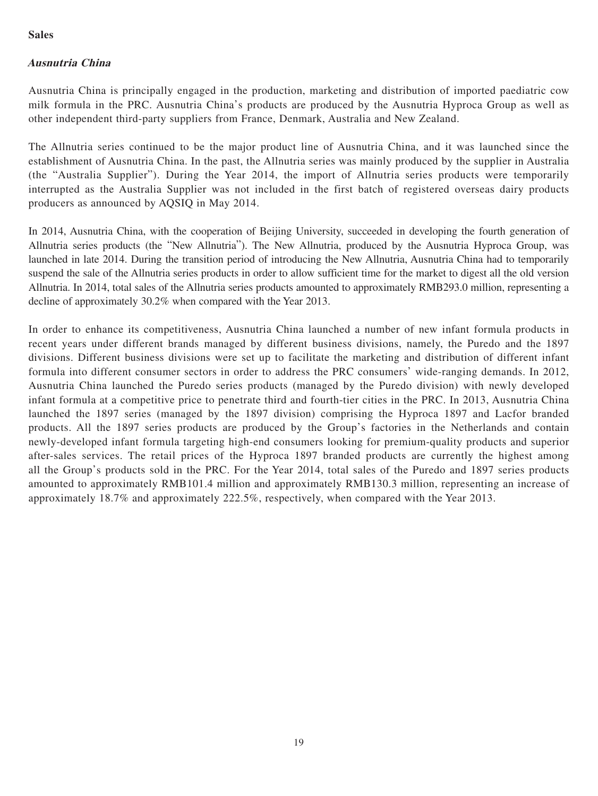# **Sales**

# **Ausnutria China**

Ausnutria China is principally engaged in the production, marketing and distribution of imported paediatric cow milk formula in the PRC. Ausnutria China's products are produced by the Ausnutria Hyproca Group as well as other independent third-party suppliers from France, Denmark, Australia and New Zealand.

The Allnutria series continued to be the major product line of Ausnutria China, and it was launched since the establishment of Ausnutria China. In the past, the Allnutria series was mainly produced by the supplier in Australia (the "Australia Supplier"). During the Year 2014, the import of Allnutria series products were temporarily interrupted as the Australia Supplier was not included in the first batch of registered overseas dairy products producers as announced by AQSIQ in May 2014.

In 2014, Ausnutria China, with the cooperation of Beijing University, succeeded in developing the fourth generation of Allnutria series products (the "New Allnutria"). The New Allnutria, produced by the Ausnutria Hyproca Group, was launched in late 2014. During the transition period of introducing the New Allnutria, Ausnutria China had to temporarily suspend the sale of the Allnutria series products in order to allow sufficient time for the market to digest all the old version Allnutria. In 2014, total sales of the Allnutria series products amounted to approximately RMB293.0 million, representing a decline of approximately 30.2% when compared with the Year 2013.

In order to enhance its competitiveness, Ausnutria China launched a number of new infant formula products in recent years under different brands managed by different business divisions, namely, the Puredo and the 1897 divisions. Different business divisions were set up to facilitate the marketing and distribution of different infant formula into different consumer sectors in order to address the PRC consumers' wide-ranging demands. In 2012, Ausnutria China launched the Puredo series products (managed by the Puredo division) with newly developed infant formula at a competitive price to penetrate third and fourth-tier cities in the PRC. In 2013, Ausnutria China launched the 1897 series (managed by the 1897 division) comprising the Hyproca 1897 and Lacfor branded products. All the 1897 series products are produced by the Group's factories in the Netherlands and contain newly-developed infant formula targeting high-end consumers looking for premium-quality products and superior after-sales services. The retail prices of the Hyproca 1897 branded products are currently the highest among all the Group's products sold in the PRC. For the Year 2014, total sales of the Puredo and 1897 series products amounted to approximately RMB101.4 million and approximately RMB130.3 million, representing an increase of approximately 18.7% and approximately 222.5%, respectively, when compared with the Year 2013.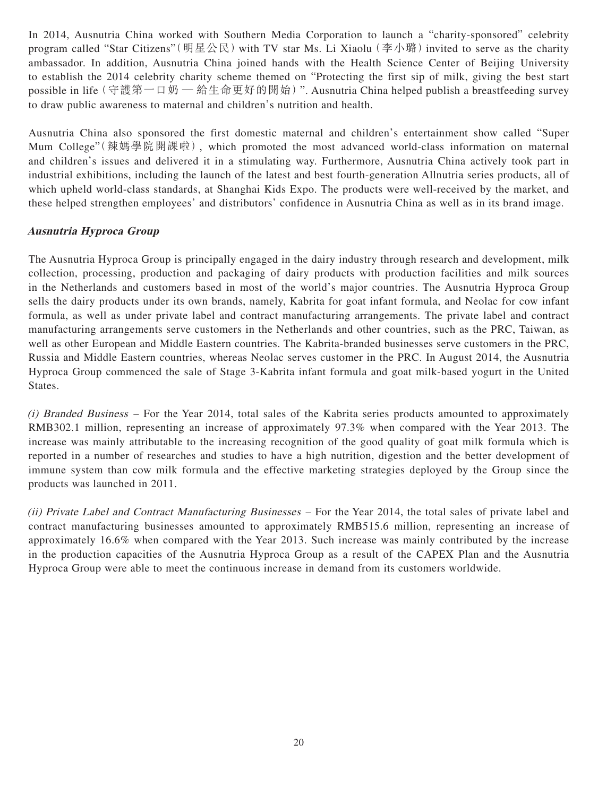In 2014, Ausnutria China worked with Southern Media Corporation to launch a "charity-sponsored" celebrity program called "Star Citizens" (明星公民) with TV star Ms. Li Xiaolu (李小璐) invited to serve as the charity ambassador. In addition, Ausnutria China joined hands with the Health Science Center of Beijing University to establish the 2014 celebrity charity scheme themed on "Protecting the first sip of milk, giving the best start possible in life(守護第一口奶 ─ 給生命更好的開始)". Ausnutria China helped publish a breastfeeding survey to draw public awareness to maternal and children's nutrition and health.

Ausnutria China also sponsored the first domestic maternal and children's entertainment show called "Super Mum College"(辣媽學院開課啦), which promoted the most advanced world-class information on maternal and children's issues and delivered it in a stimulating way. Furthermore, Ausnutria China actively took part in industrial exhibitions, including the launch of the latest and best fourth-generation Allnutria series products, all of which upheld world-class standards, at Shanghai Kids Expo. The products were well-received by the market, and these helped strengthen employees' and distributors' confidence in Ausnutria China as well as in its brand image.

# **Ausnutria Hyproca Group**

The Ausnutria Hyproca Group is principally engaged in the dairy industry through research and development, milk collection, processing, production and packaging of dairy products with production facilities and milk sources in the Netherlands and customers based in most of the world's major countries. The Ausnutria Hyproca Group sells the dairy products under its own brands, namely, Kabrita for goat infant formula, and Neolac for cow infant formula, as well as under private label and contract manufacturing arrangements. The private label and contract manufacturing arrangements serve customers in the Netherlands and other countries, such as the PRC, Taiwan, as well as other European and Middle Eastern countries. The Kabrita-branded businesses serve customers in the PRC, Russia and Middle Eastern countries, whereas Neolac serves customer in the PRC. In August 2014, the Ausnutria Hyproca Group commenced the sale of Stage 3-Kabrita infant formula and goat milk-based yogurt in the United States.

(i) Branded Business – For the Year 2014, total sales of the Kabrita series products amounted to approximately RMB302.1 million, representing an increase of approximately 97.3% when compared with the Year 2013. The increase was mainly attributable to the increasing recognition of the good quality of goat milk formula which is reported in a number of researches and studies to have a high nutrition, digestion and the better development of immune system than cow milk formula and the effective marketing strategies deployed by the Group since the products was launched in 2011.

(ii) Private Label and Contract Manufacturing Businesses – For the Year 2014, the total sales of private label and contract manufacturing businesses amounted to approximately RMB515.6 million, representing an increase of approximately 16.6% when compared with the Year 2013. Such increase was mainly contributed by the increase in the production capacities of the Ausnutria Hyproca Group as a result of the CAPEX Plan and the Ausnutria Hyproca Group were able to meet the continuous increase in demand from its customers worldwide.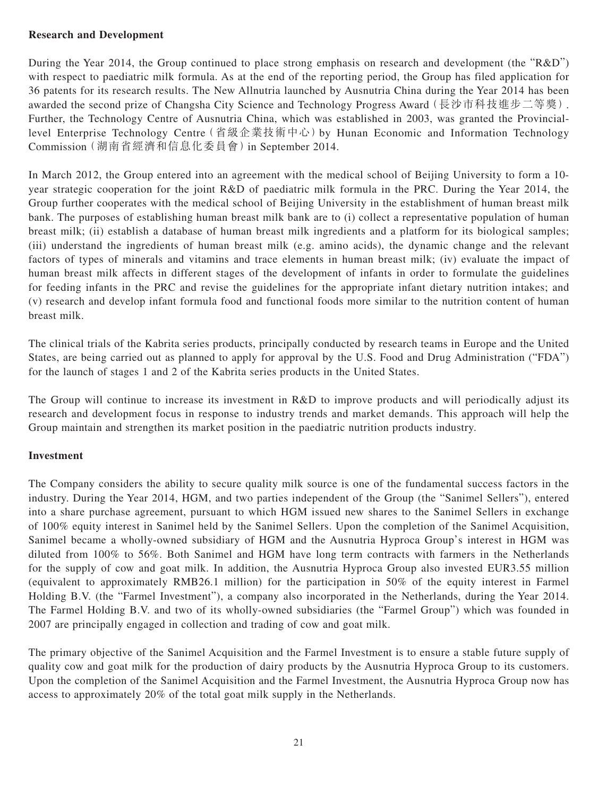# **Research and Development**

During the Year 2014, the Group continued to place strong emphasis on research and development (the "R&D") with respect to paediatric milk formula. As at the end of the reporting period, the Group has filed application for 36 patents for its research results. The New Allnutria launched by Ausnutria China during the Year 2014 has been awarded the second prize of Changsha City Science and Technology Progress Award (長沙市科技進步二等獎). Further, the Technology Centre of Ausnutria China, which was established in 2003, was granted the Provinciallevel Enterprise Technology Centre(省級企業技術中心)by Hunan Economic and Information Technology Commission(湖南省經濟和信息化委員會)in September 2014.

In March 2012, the Group entered into an agreement with the medical school of Beijing University to form a 10 year strategic cooperation for the joint R&D of paediatric milk formula in the PRC. During the Year 2014, the Group further cooperates with the medical school of Beijing University in the establishment of human breast milk bank. The purposes of establishing human breast milk bank are to (i) collect a representative population of human breast milk; (ii) establish a database of human breast milk ingredients and a platform for its biological samples; (iii) understand the ingredients of human breast milk (e.g. amino acids), the dynamic change and the relevant factors of types of minerals and vitamins and trace elements in human breast milk; (iv) evaluate the impact of human breast milk affects in different stages of the development of infants in order to formulate the guidelines for feeding infants in the PRC and revise the guidelines for the appropriate infant dietary nutrition intakes; and (v) research and develop infant formula food and functional foods more similar to the nutrition content of human breast milk.

The clinical trials of the Kabrita series products, principally conducted by research teams in Europe and the United States, are being carried out as planned to apply for approval by the U.S. Food and Drug Administration ("FDA") for the launch of stages 1 and 2 of the Kabrita series products in the United States.

The Group will continue to increase its investment in R&D to improve products and will periodically adjust its research and development focus in response to industry trends and market demands. This approach will help the Group maintain and strengthen its market position in the paediatric nutrition products industry.

### **Investment**

The Company considers the ability to secure quality milk source is one of the fundamental success factors in the industry. During the Year 2014, HGM, and two parties independent of the Group (the "Sanimel Sellers"), entered into a share purchase agreement, pursuant to which HGM issued new shares to the Sanimel Sellers in exchange of 100% equity interest in Sanimel held by the Sanimel Sellers. Upon the completion of the Sanimel Acquisition, Sanimel became a wholly-owned subsidiary of HGM and the Ausnutria Hyproca Group's interest in HGM was diluted from 100% to 56%. Both Sanimel and HGM have long term contracts with farmers in the Netherlands for the supply of cow and goat milk. In addition, the Ausnutria Hyproca Group also invested EUR3.55 million (equivalent to approximately RMB26.1 million) for the participation in 50% of the equity interest in Farmel Holding B.V. (the "Farmel Investment"), a company also incorporated in the Netherlands, during the Year 2014. The Farmel Holding B.V. and two of its wholly-owned subsidiaries (the "Farmel Group") which was founded in 2007 are principally engaged in collection and trading of cow and goat milk.

The primary objective of the Sanimel Acquisition and the Farmel Investment is to ensure a stable future supply of quality cow and goat milk for the production of dairy products by the Ausnutria Hyproca Group to its customers. Upon the completion of the Sanimel Acquisition and the Farmel Investment, the Ausnutria Hyproca Group now has access to approximately 20% of the total goat milk supply in the Netherlands.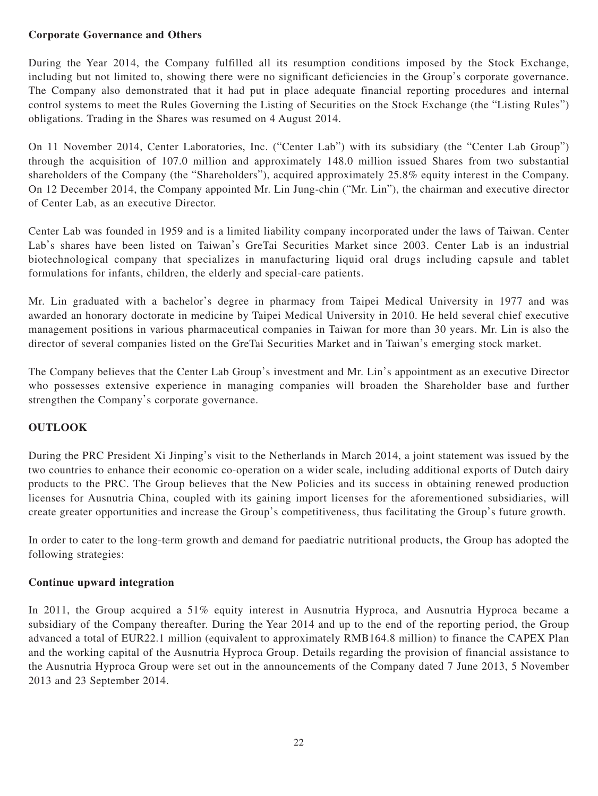## **Corporate Governance and Others**

During the Year 2014, the Company fulfilled all its resumption conditions imposed by the Stock Exchange, including but not limited to, showing there were no significant deficiencies in the Group's corporate governance. The Company also demonstrated that it had put in place adequate financial reporting procedures and internal control systems to meet the Rules Governing the Listing of Securities on the Stock Exchange (the "Listing Rules") obligations. Trading in the Shares was resumed on 4 August 2014.

On 11 November 2014, Center Laboratories, Inc. ("Center Lab") with its subsidiary (the "Center Lab Group") through the acquisition of 107.0 million and approximately 148.0 million issued Shares from two substantial shareholders of the Company (the "Shareholders"), acquired approximately 25.8% equity interest in the Company. On 12 December 2014, the Company appointed Mr. Lin Jung-chin ("Mr. Lin"), the chairman and executive director of Center Lab, as an executive Director.

Center Lab was founded in 1959 and is a limited liability company incorporated under the laws of Taiwan. Center Lab's shares have been listed on Taiwan's GreTai Securities Market since 2003. Center Lab is an industrial biotechnological company that specializes in manufacturing liquid oral drugs including capsule and tablet formulations for infants, children, the elderly and special-care patients.

Mr. Lin graduated with a bachelor's degree in pharmacy from Taipei Medical University in 1977 and was awarded an honorary doctorate in medicine by Taipei Medical University in 2010. He held several chief executive management positions in various pharmaceutical companies in Taiwan for more than 30 years. Mr. Lin is also the director of several companies listed on the GreTai Securities Market and in Taiwan's emerging stock market.

The Company believes that the Center Lab Group's investment and Mr. Lin's appointment as an executive Director who possesses extensive experience in managing companies will broaden the Shareholder base and further strengthen the Company's corporate governance.

# **OUTLOOK**

During the PRC President Xi Jinping's visit to the Netherlands in March 2014, a joint statement was issued by the two countries to enhance their economic co-operation on a wider scale, including additional exports of Dutch dairy products to the PRC. The Group believes that the New Policies and its success in obtaining renewed production licenses for Ausnutria China, coupled with its gaining import licenses for the aforementioned subsidiaries, will create greater opportunities and increase the Group's competitiveness, thus facilitating the Group's future growth.

In order to cater to the long-term growth and demand for paediatric nutritional products, the Group has adopted the following strategies:

### **Continue upward integration**

In 2011, the Group acquired a 51% equity interest in Ausnutria Hyproca, and Ausnutria Hyproca became a subsidiary of the Company thereafter. During the Year 2014 and up to the end of the reporting period, the Group advanced a total of EUR22.1 million (equivalent to approximately RMB164.8 million) to finance the CAPEX Plan and the working capital of the Ausnutria Hyproca Group. Details regarding the provision of financial assistance to the Ausnutria Hyproca Group were set out in the announcements of the Company dated 7 June 2013, 5 November 2013 and 23 September 2014.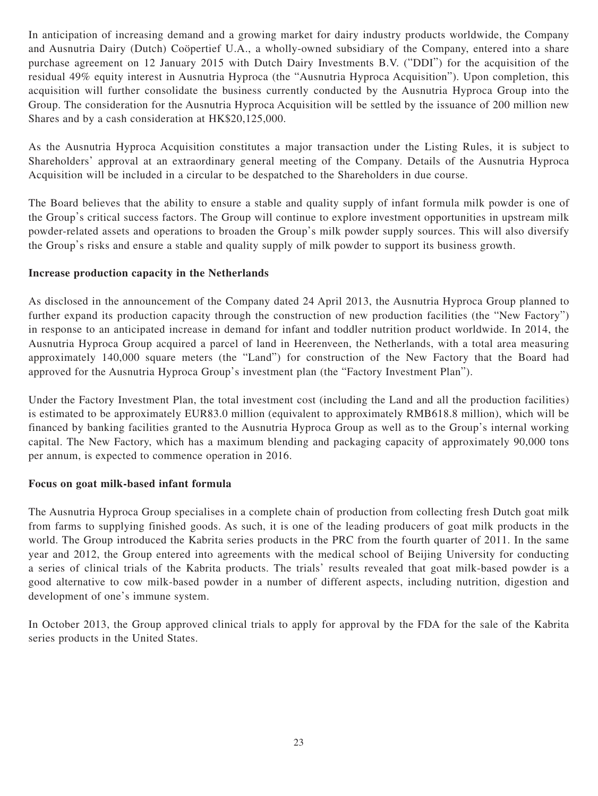In anticipation of increasing demand and a growing market for dairy industry products worldwide, the Company and Ausnutria Dairy (Dutch) Coöpertief U.A., a wholly-owned subsidiary of the Company, entered into a share purchase agreement on 12 January 2015 with Dutch Dairy Investments B.V. ("DDI") for the acquisition of the residual 49% equity interest in Ausnutria Hyproca (the "Ausnutria Hyproca Acquisition"). Upon completion, this acquisition will further consolidate the business currently conducted by the Ausnutria Hyproca Group into the Group. The consideration for the Ausnutria Hyproca Acquisition will be settled by the issuance of 200 million new Shares and by a cash consideration at HK\$20,125,000.

As the Ausnutria Hyproca Acquisition constitutes a major transaction under the Listing Rules, it is subject to Shareholders' approval at an extraordinary general meeting of the Company. Details of the Ausnutria Hyproca Acquisition will be included in a circular to be despatched to the Shareholders in due course.

The Board believes that the ability to ensure a stable and quality supply of infant formula milk powder is one of the Group's critical success factors. The Group will continue to explore investment opportunities in upstream milk powder-related assets and operations to broaden the Group's milk powder supply sources. This will also diversify the Group's risks and ensure a stable and quality supply of milk powder to support its business growth.

# **Increase production capacity in the Netherlands**

As disclosed in the announcement of the Company dated 24 April 2013, the Ausnutria Hyproca Group planned to further expand its production capacity through the construction of new production facilities (the "New Factory") in response to an anticipated increase in demand for infant and toddler nutrition product worldwide. In 2014, the Ausnutria Hyproca Group acquired a parcel of land in Heerenveen, the Netherlands, with a total area measuring approximately 140,000 square meters (the "Land") for construction of the New Factory that the Board had approved for the Ausnutria Hyproca Group's investment plan (the "Factory Investment Plan").

Under the Factory Investment Plan, the total investment cost (including the Land and all the production facilities) is estimated to be approximately EUR83.0 million (equivalent to approximately RMB618.8 million), which will be financed by banking facilities granted to the Ausnutria Hyproca Group as well as to the Group's internal working capital. The New Factory, which has a maximum blending and packaging capacity of approximately 90,000 tons per annum, is expected to commence operation in 2016.

# **Focus on goat milk-based infant formula**

The Ausnutria Hyproca Group specialises in a complete chain of production from collecting fresh Dutch goat milk from farms to supplying finished goods. As such, it is one of the leading producers of goat milk products in the world. The Group introduced the Kabrita series products in the PRC from the fourth quarter of 2011. In the same year and 2012, the Group entered into agreements with the medical school of Beijing University for conducting a series of clinical trials of the Kabrita products. The trials' results revealed that goat milk-based powder is a good alternative to cow milk-based powder in a number of different aspects, including nutrition, digestion and development of one's immune system.

In October 2013, the Group approved clinical trials to apply for approval by the FDA for the sale of the Kabrita series products in the United States.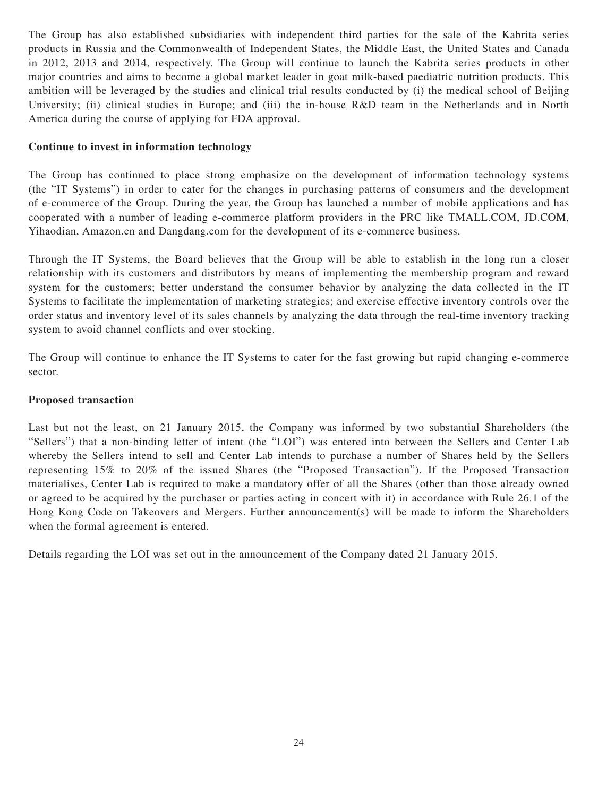The Group has also established subsidiaries with independent third parties for the sale of the Kabrita series products in Russia and the Commonwealth of Independent States, the Middle East, the United States and Canada in 2012, 2013 and 2014, respectively. The Group will continue to launch the Kabrita series products in other major countries and aims to become a global market leader in goat milk-based paediatric nutrition products. This ambition will be leveraged by the studies and clinical trial results conducted by (i) the medical school of Beijing University; (ii) clinical studies in Europe; and (iii) the in-house R&D team in the Netherlands and in North America during the course of applying for FDA approval.

### **Continue to invest in information technology**

The Group has continued to place strong emphasize on the development of information technology systems (the "IT Systems") in order to cater for the changes in purchasing patterns of consumers and the development of e-commerce of the Group. During the year, the Group has launched a number of mobile applications and has cooperated with a number of leading e-commerce platform providers in the PRC like TMALL.COM, JD.COM, Yihaodian, Amazon.cn and Dangdang.com for the development of its e-commerce business.

Through the IT Systems, the Board believes that the Group will be able to establish in the long run a closer relationship with its customers and distributors by means of implementing the membership program and reward system for the customers; better understand the consumer behavior by analyzing the data collected in the IT Systems to facilitate the implementation of marketing strategies; and exercise effective inventory controls over the order status and inventory level of its sales channels by analyzing the data through the real-time inventory tracking system to avoid channel conflicts and over stocking.

The Group will continue to enhance the IT Systems to cater for the fast growing but rapid changing e-commerce sector.

### **Proposed transaction**

Last but not the least, on 21 January 2015, the Company was informed by two substantial Shareholders (the "Sellers") that a non-binding letter of intent (the "LOI") was entered into between the Sellers and Center Lab whereby the Sellers intend to sell and Center Lab intends to purchase a number of Shares held by the Sellers representing 15% to 20% of the issued Shares (the "Proposed Transaction"). If the Proposed Transaction materialises, Center Lab is required to make a mandatory offer of all the Shares (other than those already owned or agreed to be acquired by the purchaser or parties acting in concert with it) in accordance with Rule 26.1 of the Hong Kong Code on Takeovers and Mergers. Further announcement(s) will be made to inform the Shareholders when the formal agreement is entered.

Details regarding the LOI was set out in the announcement of the Company dated 21 January 2015.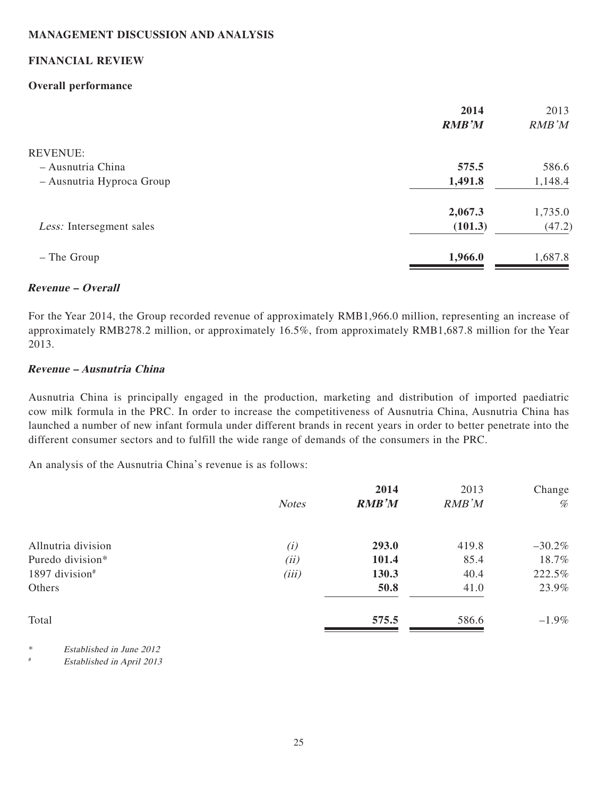# **MANAGEMENT DISCUSSION AND ANALYSIS**

### **FINANCIAL REVIEW**

### **Overall performance**

| 2014<br><b>RMB'M</b> | 2013<br>RMB'M |
|----------------------|---------------|
|                      |               |
| 575.5                | 586.6         |
| 1,491.8              | 1,148.4       |
| 2,067.3              | 1,735.0       |
| (101.3)              | (47.2)        |
| 1,966.0              | 1,687.8       |
|                      |               |

### **Revenue – Overall**

For the Year 2014, the Group recorded revenue of approximately RMB1,966.0 million, representing an increase of approximately RMB278.2 million, or approximately 16.5%, from approximately RMB1,687.8 million for the Year 2013.

### **Revenue – Ausnutria China**

Ausnutria China is principally engaged in the production, marketing and distribution of imported paediatric cow milk formula in the PRC. In order to increase the competitiveness of Ausnutria China, Ausnutria China has launched a number of new infant formula under different brands in recent years in order to better penetrate into the different consumer sectors and to fulfill the wide range of demands of the consumers in the PRC.

An analysis of the Ausnutria China's revenue is as follows:

|                    |              | 2014         | 2013  | Change   |
|--------------------|--------------|--------------|-------|----------|
|                    | <b>Notes</b> | <b>RMB'M</b> | RMB'M | $\%$     |
| Allnutria division | (i)          | 293.0        | 419.8 | $-30.2%$ |
| Puredo division*   | (ii)         | 101.4        | 85.4  | 18.7%    |
| 1897 division#     | (iii)        | 130.3        | 40.4  | 222.5%   |
| Others             |              | 50.8         | 41.0  | 23.9%    |
| Total              |              | 575.5        | 586.6 | $-1.9\%$ |

\* Established in June 2012

# Established in April 2013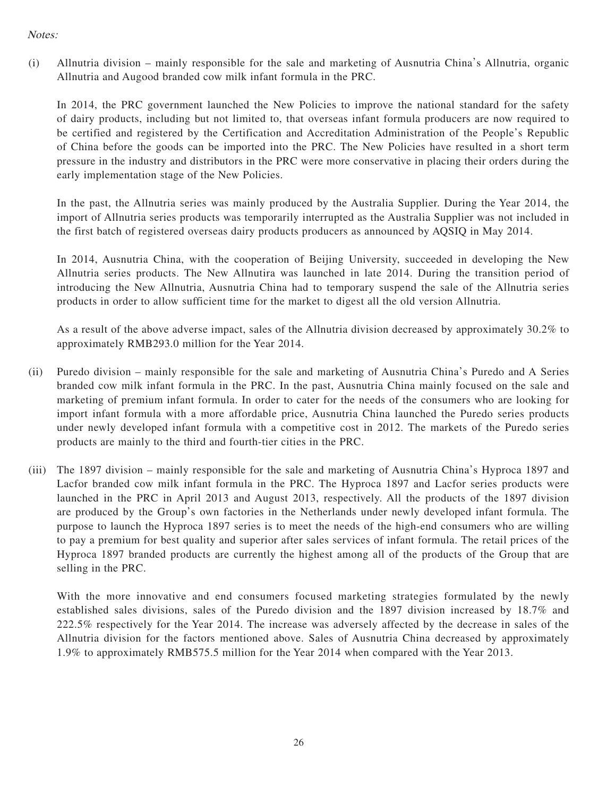# Notes:

(i) Allnutria division – mainly responsible for the sale and marketing of Ausnutria China's Allnutria, organic Allnutria and Augood branded cow milk infant formula in the PRC.

In 2014, the PRC government launched the New Policies to improve the national standard for the safety of dairy products, including but not limited to, that overseas infant formula producers are now required to be certified and registered by the Certification and Accreditation Administration of the People's Republic of China before the goods can be imported into the PRC. The New Policies have resulted in a short term pressure in the industry and distributors in the PRC were more conservative in placing their orders during the early implementation stage of the New Policies.

In the past, the Allnutria series was mainly produced by the Australia Supplier. During the Year 2014, the import of Allnutria series products was temporarily interrupted as the Australia Supplier was not included in the first batch of registered overseas dairy products producers as announced by AQSIQ in May 2014.

In 2014, Ausnutria China, with the cooperation of Beijing University, succeeded in developing the New Allnutria series products. The New Allnutira was launched in late 2014. During the transition period of introducing the New Allnutria, Ausnutria China had to temporary suspend the sale of the Allnutria series products in order to allow sufficient time for the market to digest all the old version Allnutria.

As a result of the above adverse impact, sales of the Allnutria division decreased by approximately 30.2% to approximately RMB293.0 million for the Year 2014.

- (ii) Puredo division mainly responsible for the sale and marketing of Ausnutria China's Puredo and A Series branded cow milk infant formula in the PRC. In the past, Ausnutria China mainly focused on the sale and marketing of premium infant formula. In order to cater for the needs of the consumers who are looking for import infant formula with a more affordable price, Ausnutria China launched the Puredo series products under newly developed infant formula with a competitive cost in 2012. The markets of the Puredo series products are mainly to the third and fourth-tier cities in the PRC.
- (iii) The 1897 division mainly responsible for the sale and marketing of Ausnutria China's Hyproca 1897 and Lacfor branded cow milk infant formula in the PRC. The Hyproca 1897 and Lacfor series products were launched in the PRC in April 2013 and August 2013, respectively. All the products of the 1897 division are produced by the Group's own factories in the Netherlands under newly developed infant formula. The purpose to launch the Hyproca 1897 series is to meet the needs of the high-end consumers who are willing to pay a premium for best quality and superior after sales services of infant formula. The retail prices of the Hyproca 1897 branded products are currently the highest among all of the products of the Group that are selling in the PRC.

With the more innovative and end consumers focused marketing strategies formulated by the newly established sales divisions, sales of the Puredo division and the 1897 division increased by 18.7% and 222.5% respectively for the Year 2014. The increase was adversely affected by the decrease in sales of the Allnutria division for the factors mentioned above. Sales of Ausnutria China decreased by approximately 1.9% to approximately RMB575.5 million for the Year 2014 when compared with the Year 2013.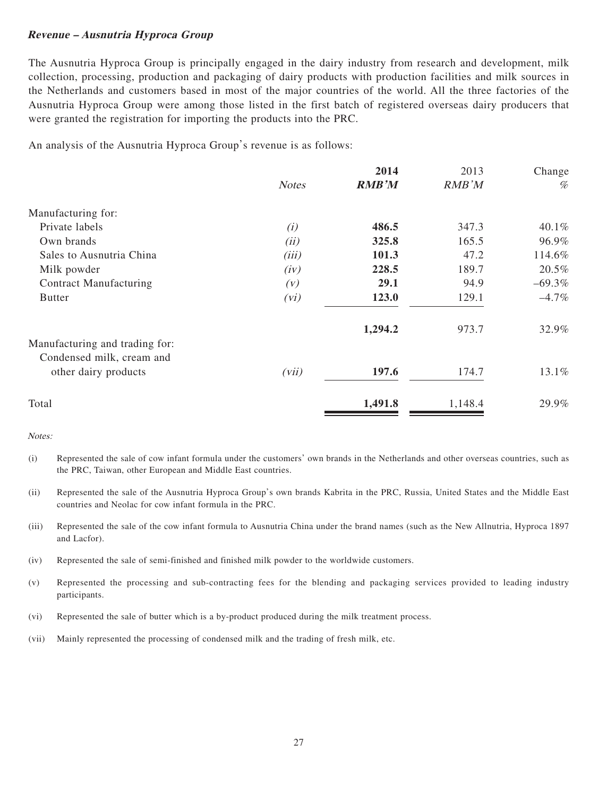#### **Revenue – Ausnutria Hyproca Group**

The Ausnutria Hyproca Group is principally engaged in the dairy industry from research and development, milk collection, processing, production and packaging of dairy products with production facilities and milk sources in the Netherlands and customers based in most of the major countries of the world. All the three factories of the Ausnutria Hyproca Group were among those listed in the first batch of registered overseas dairy producers that were granted the registration for importing the products into the PRC.

An analysis of the Ausnutria Hyproca Group's revenue is as follows:

|              | 2014         | 2013    | Change   |
|--------------|--------------|---------|----------|
| <b>Notes</b> | <b>RMB'M</b> | RMB'M   | %        |
|              |              |         |          |
| (i)          | 486.5        | 347.3   | 40.1%    |
| (ii)         | 325.8        | 165.5   | 96.9%    |
| (iii)        | 101.3        | 47.2    | 114.6%   |
| (iv)         | 228.5        | 189.7   | 20.5%    |
| (V)          | 29.1         | 94.9    | $-69.3%$ |
| (vi)         | 123.0        | 129.1   | $-4.7\%$ |
|              | 1,294.2      | 973.7   | 32.9%    |
|              |              |         |          |
|              |              |         |          |
| (vii)        | 197.6        | 174.7   | 13.1%    |
|              | 1,491.8      | 1,148.4 | 29.9%    |
|              |              |         |          |

Notes:

- (i) Represented the sale of cow infant formula under the customers' own brands in the Netherlands and other overseas countries, such as the PRC, Taiwan, other European and Middle East countries.
- (ii) Represented the sale of the Ausnutria Hyproca Group's own brands Kabrita in the PRC, Russia, United States and the Middle East countries and Neolac for cow infant formula in the PRC.
- (iii) Represented the sale of the cow infant formula to Ausnutria China under the brand names (such as the New Allnutria, Hyproca 1897 and Lacfor).
- (iv) Represented the sale of semi-finished and finished milk powder to the worldwide customers.
- (v) Represented the processing and sub-contracting fees for the blending and packaging services provided to leading industry participants.
- (vi) Represented the sale of butter which is a by-product produced during the milk treatment process.
- (vii) Mainly represented the processing of condensed milk and the trading of fresh milk, etc.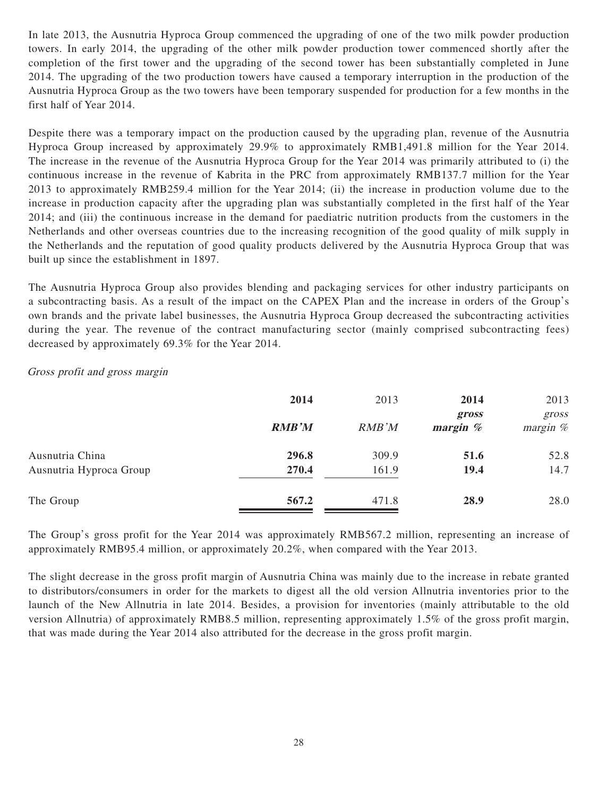In late 2013, the Ausnutria Hyproca Group commenced the upgrading of one of the two milk powder production towers. In early 2014, the upgrading of the other milk powder production tower commenced shortly after the completion of the first tower and the upgrading of the second tower has been substantially completed in June 2014. The upgrading of the two production towers have caused a temporary interruption in the production of the Ausnutria Hyproca Group as the two towers have been temporary suspended for production for a few months in the first half of Year 2014.

Despite there was a temporary impact on the production caused by the upgrading plan, revenue of the Ausnutria Hyproca Group increased by approximately 29.9% to approximately RMB1,491.8 million for the Year 2014. The increase in the revenue of the Ausnutria Hyproca Group for the Year 2014 was primarily attributed to (i) the continuous increase in the revenue of Kabrita in the PRC from approximately RMB137.7 million for the Year 2013 to approximately RMB259.4 million for the Year 2014; (ii) the increase in production volume due to the increase in production capacity after the upgrading plan was substantially completed in the first half of the Year 2014; and (iii) the continuous increase in the demand for paediatric nutrition products from the customers in the Netherlands and other overseas countries due to the increasing recognition of the good quality of milk supply in the Netherlands and the reputation of good quality products delivered by the Ausnutria Hyproca Group that was built up since the establishment in 1897.

The Ausnutria Hyproca Group also provides blending and packaging services for other industry participants on a subcontracting basis. As a result of the impact on the CAPEX Plan and the increase in orders of the Group's own brands and the private label businesses, the Ausnutria Hyproca Group decreased the subcontracting activities during the year. The revenue of the contract manufacturing sector (mainly comprised subcontracting fees) decreased by approximately 69.3% for the Year 2014.

## Gross profit and gross margin

|                         | 2014         | 2013          | 2014                             | 2013                |
|-------------------------|--------------|---------------|----------------------------------|---------------------|
|                         | <b>RMB'M</b> | <b>RMB</b> 'M | gross<br>$\boldsymbol{margin}$ % | gross<br>margin $%$ |
| Ausnutria China         | 296.8        | 309.9         | 51.6                             | 52.8                |
| Ausnutria Hyproca Group | 270.4        | 161.9         | 19.4                             | 14.7                |
| The Group               | 567.2        | 471.8         | 28.9                             | 28.0                |

The Group's gross profit for the Year 2014 was approximately RMB567.2 million, representing an increase of approximately RMB95.4 million, or approximately 20.2%, when compared with the Year 2013.

The slight decrease in the gross profit margin of Ausnutria China was mainly due to the increase in rebate granted to distributors/consumers in order for the markets to digest all the old version Allnutria inventories prior to the launch of the New Allnutria in late 2014. Besides, a provision for inventories (mainly attributable to the old version Allnutria) of approximately RMB8.5 million, representing approximately 1.5% of the gross profit margin, that was made during the Year 2014 also attributed for the decrease in the gross profit margin.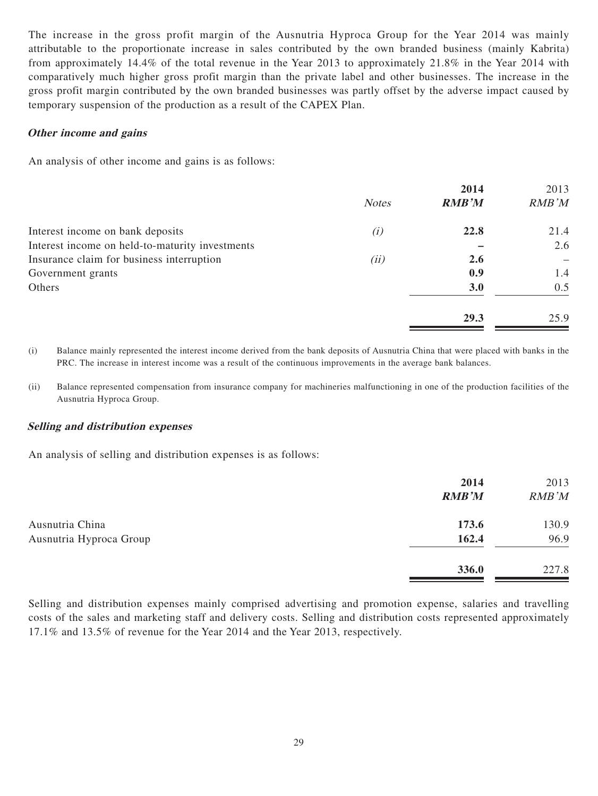The increase in the gross profit margin of the Ausnutria Hyproca Group for the Year 2014 was mainly attributable to the proportionate increase in sales contributed by the own branded business (mainly Kabrita) from approximately 14.4% of the total revenue in the Year 2013 to approximately 21.8% in the Year 2014 with comparatively much higher gross profit margin than the private label and other businesses. The increase in the gross profit margin contributed by the own branded businesses was partly offset by the adverse impact caused by temporary suspension of the production as a result of the CAPEX Plan.

#### **Other income and gains**

An analysis of other income and gains is as follows:

|                                                 |              | 2014         | 2013  |
|-------------------------------------------------|--------------|--------------|-------|
|                                                 | <b>Notes</b> | <b>RMB'M</b> | RMB'M |
| Interest income on bank deposits                | (i)          | 22.8         | 21.4  |
| Interest income on held-to-maturity investments |              |              | 2.6   |
| Insurance claim for business interruption       | (ii)         | 2.6          |       |
| Government grants                               |              | 0.9          | 1.4   |
| Others                                          |              | 3.0          | 0.5   |
|                                                 |              | 29.3         | 25.9  |

(i) Balance mainly represented the interest income derived from the bank deposits of Ausnutria China that were placed with banks in the PRC. The increase in interest income was a result of the continuous improvements in the average bank balances.

(ii) Balance represented compensation from insurance company for machineries malfunctioning in one of the production facilities of the Ausnutria Hyproca Group.

#### **Selling and distribution expenses**

An analysis of selling and distribution expenses is as follows:

|                         | 2014         | 2013  |
|-------------------------|--------------|-------|
|                         | <b>RMB'M</b> | RMB'M |
| Ausnutria China         | 173.6        | 130.9 |
| Ausnutria Hyproca Group | 162.4        | 96.9  |
|                         | 336.0        | 227.8 |

Selling and distribution expenses mainly comprised advertising and promotion expense, salaries and travelling costs of the sales and marketing staff and delivery costs. Selling and distribution costs represented approximately 17.1% and 13.5% of revenue for the Year 2014 and the Year 2013, respectively.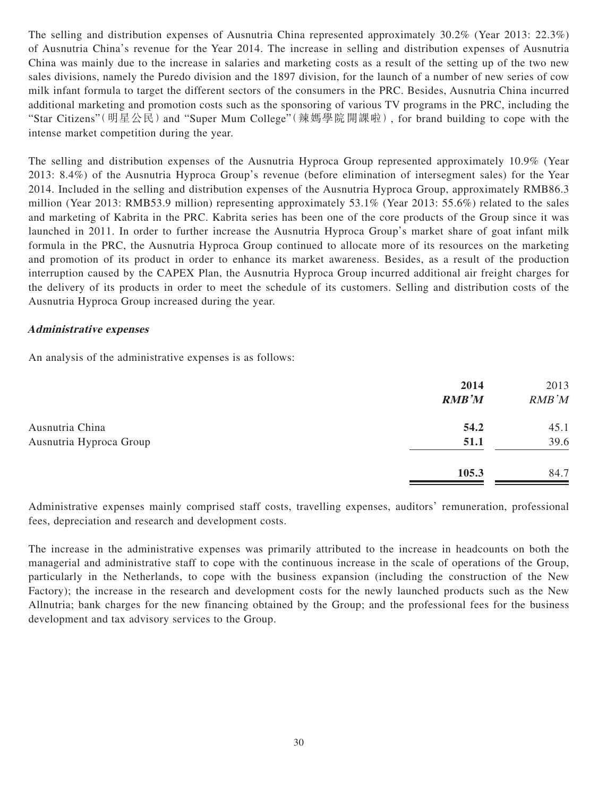The selling and distribution expenses of Ausnutria China represented approximately 30.2% (Year 2013: 22.3%) of Ausnutria China's revenue for the Year 2014. The increase in selling and distribution expenses of Ausnutria China was mainly due to the increase in salaries and marketing costs as a result of the setting up of the two new sales divisions, namely the Puredo division and the 1897 division, for the launch of a number of new series of cow milk infant formula to target the different sectors of the consumers in the PRC. Besides, Ausnutria China incurred additional marketing and promotion costs such as the sponsoring of various TV programs in the PRC, including the "Star Citizens" (明星公民) and "Super Mum College" (辣媽學院開課啦), for brand building to cope with the intense market competition during the year.

The selling and distribution expenses of the Ausnutria Hyproca Group represented approximately 10.9% (Year 2013: 8.4%) of the Ausnutria Hyproca Group's revenue (before elimination of intersegment sales) for the Year 2014. Included in the selling and distribution expenses of the Ausnutria Hyproca Group, approximately RMB86.3 million (Year 2013: RMB53.9 million) representing approximately 53.1% (Year 2013: 55.6%) related to the sales and marketing of Kabrita in the PRC. Kabrita series has been one of the core products of the Group since it was launched in 2011. In order to further increase the Ausnutria Hyproca Group's market share of goat infant milk formula in the PRC, the Ausnutria Hyproca Group continued to allocate more of its resources on the marketing and promotion of its product in order to enhance its market awareness. Besides, as a result of the production interruption caused by the CAPEX Plan, the Ausnutria Hyproca Group incurred additional air freight charges for the delivery of its products in order to meet the schedule of its customers. Selling and distribution costs of the Ausnutria Hyproca Group increased during the year.

### **Administrative expenses**

An analysis of the administrative expenses is as follows:

|                         | 2014<br><b>RMB'M</b> | 2013<br>RMB'M |
|-------------------------|----------------------|---------------|
| Ausnutria China         | 54.2                 | 45.1          |
| Ausnutria Hyproca Group | 51.1                 | 39.6          |
|                         | 105.3                | 84.7          |

Administrative expenses mainly comprised staff costs, travelling expenses, auditors' remuneration, professional fees, depreciation and research and development costs.

The increase in the administrative expenses was primarily attributed to the increase in headcounts on both the managerial and administrative staff to cope with the continuous increase in the scale of operations of the Group, particularly in the Netherlands, to cope with the business expansion (including the construction of the New Factory); the increase in the research and development costs for the newly launched products such as the New Allnutria; bank charges for the new financing obtained by the Group; and the professional fees for the business development and tax advisory services to the Group.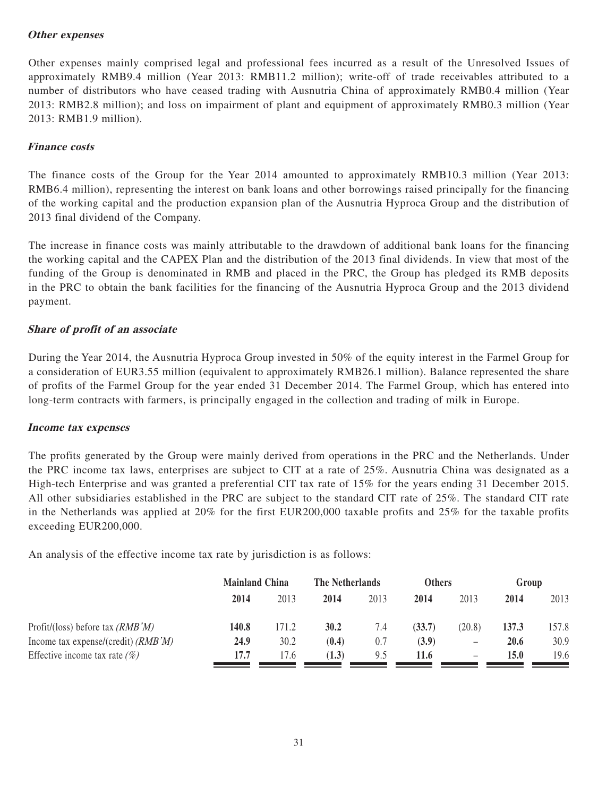### **Other expenses**

Other expenses mainly comprised legal and professional fees incurred as a result of the Unresolved Issues of approximately RMB9.4 million (Year 2013: RMB11.2 million); write-off of trade receivables attributed to a number of distributors who have ceased trading with Ausnutria China of approximately RMB0.4 million (Year 2013: RMB2.8 million); and loss on impairment of plant and equipment of approximately RMB0.3 million (Year 2013: RMB1.9 million).

## **Finance costs**

The finance costs of the Group for the Year 2014 amounted to approximately RMB10.3 million (Year 2013: RMB6.4 million), representing the interest on bank loans and other borrowings raised principally for the financing of the working capital and the production expansion plan of the Ausnutria Hyproca Group and the distribution of 2013 final dividend of the Company.

The increase in finance costs was mainly attributable to the drawdown of additional bank loans for the financing the working capital and the CAPEX Plan and the distribution of the 2013 final dividends. In view that most of the funding of the Group is denominated in RMB and placed in the PRC, the Group has pledged its RMB deposits in the PRC to obtain the bank facilities for the financing of the Ausnutria Hyproca Group and the 2013 dividend payment.

## **Share of profit of an associate**

During the Year 2014, the Ausnutria Hyproca Group invested in 50% of the equity interest in the Farmel Group for a consideration of EUR3.55 million (equivalent to approximately RMB26.1 million). Balance represented the share of profits of the Farmel Group for the year ended 31 December 2014. The Farmel Group, which has entered into long-term contracts with farmers, is principally engaged in the collection and trading of milk in Europe.

### **Income tax expenses**

The profits generated by the Group were mainly derived from operations in the PRC and the Netherlands. Under the PRC income tax laws, enterprises are subject to CIT at a rate of 25%. Ausnutria China was designated as a High-tech Enterprise and was granted a preferential CIT tax rate of 15% for the years ending 31 December 2015. All other subsidiaries established in the PRC are subject to the standard CIT rate of 25%. The standard CIT rate in the Netherlands was applied at 20% for the first EUR200,000 taxable profits and 25% for the taxable profits exceeding EUR200,000.

An analysis of the effective income tax rate by jurisdiction is as follows:

|                                       | <b>Mainland China</b> |       | The Netherlands |      | <b>Others</b> |                              | Group |       |
|---------------------------------------|-----------------------|-------|-----------------|------|---------------|------------------------------|-------|-------|
|                                       | 2014                  | 2013  | 2014            | 2013 | 2014          | 2013                         | 2014  | 2013  |
| Profit/(loss) before tax $(RMB'M)$    | 140.8                 | 171.2 | 30.2            | 7.4  | (33.7)        | (20.8)                       | 137.3 | 157.8 |
| Income tax expense/(credit) $(RMB'M)$ | 24.9                  | 30.2  | (0.4)           | 0.7  | (3.9)         | $\qquad \qquad \blacksquare$ | 20.6  | 30.9  |
| Effective income tax rate $(\%)$      | 17.7                  | 17.6  | (1.3)           | 9.5  | 11.6          |                              | 15.0  | 19.6  |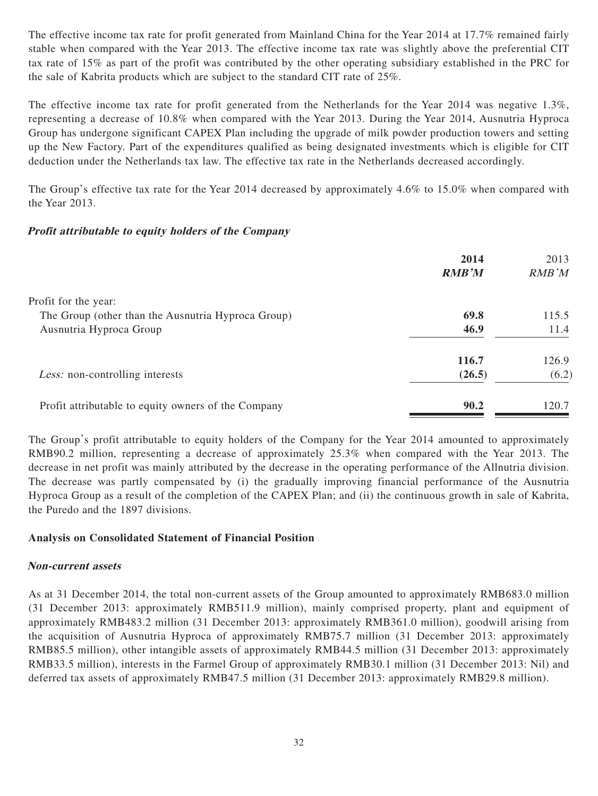The effective income tax rate for profit generated from Mainland China for the Year 2014 at 17.7% remained fairly stable when compared with the Year 2013. The effective income tax rate was slightly above the preferential CIT tax rate of 15% as part of the profit was contributed by the other operating subsidiary established in the PRC for the sale of Kabrita products which are subject to the standard CIT rate of 25%.

The effective income tax rate for profit generated from the Netherlands for the Year 2014 was negative 1.3%, representing a decrease of 10.8% when compared with the Year 2013. During the Year 2014, Ausnutria Hyproca Group has undergone significant CAPEX Plan including the upgrade of milk powder production towers and setting up the New Factory. Part of the expenditures qualified as being designated investments which is eligible for CIT deduction under the Netherlands tax law. The effective tax rate in the Netherlands decreased accordingly.

The Group's effective tax rate for the Year 2014 decreased by approximately 4.6% to 15.0% when compared with the Year 2013.

## **Profit attributable to equity holders of the Company**

|                                                     | 2014         | 2013  |
|-----------------------------------------------------|--------------|-------|
|                                                     | <b>RMB'M</b> | RMB'M |
| Profit for the year:                                |              |       |
| The Group (other than the Ausnutria Hyproca Group)  | 69.8         | 115.5 |
| Ausnutria Hyproca Group                             | 46.9         | 11.4  |
|                                                     | <b>116.7</b> | 126.9 |
| <i>Less:</i> non-controlling interests              | (26.5)       | (6.2) |
| Profit attributable to equity owners of the Company | 90.2         | 120.7 |

The Group's profit attributable to equity holders of the Company for the Year 2014 amounted to approximately RMB90.2 million, representing a decrease of approximately 25.3% when compared with the Year 2013. The decrease in net profit was mainly attributed by the decrease in the operating performance of the Allnutria division. The decrease was partly compensated by (i) the gradually improving financial performance of the Ausnutria Hyproca Group as a result of the completion of the CAPEX Plan; and (ii) the continuous growth in sale of Kabrita, the Puredo and the 1897 divisions.

# **Analysis on Consolidated Statement of Financial Position**

### **Non-current assets**

As at 31 December 2014, the total non-current assets of the Group amounted to approximately RMB683.0 million (31 December 2013: approximately RMB511.9 million), mainly comprised property, plant and equipment of approximately RMB483.2 million (31 December 2013: approximately RMB361.0 million), goodwill arising from the acquisition of Ausnutria Hyproca of approximately RMB75.7 million (31 December 2013: approximately RMB85.5 million), other intangible assets of approximately RMB44.5 million (31 December 2013: approximately RMB33.5 million), interests in the Farmel Group of approximately RMB30.1 million (31 December 2013: Nil) and deferred tax assets of approximately RMB47.5 million (31 December 2013: approximately RMB29.8 million).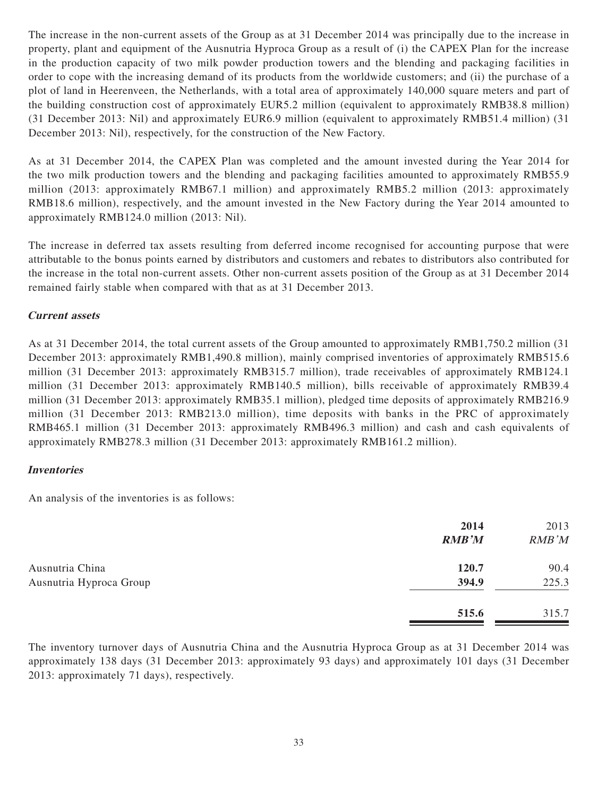The increase in the non-current assets of the Group as at 31 December 2014 was principally due to the increase in property, plant and equipment of the Ausnutria Hyproca Group as a result of (i) the CAPEX Plan for the increase in the production capacity of two milk powder production towers and the blending and packaging facilities in order to cope with the increasing demand of its products from the worldwide customers; and (ii) the purchase of a plot of land in Heerenveen, the Netherlands, with a total area of approximately 140,000 square meters and part of the building construction cost of approximately EUR5.2 million (equivalent to approximately RMB38.8 million) (31 December 2013: Nil) and approximately EUR6.9 million (equivalent to approximately RMB51.4 million) (31 December 2013: Nil), respectively, for the construction of the New Factory.

As at 31 December 2014, the CAPEX Plan was completed and the amount invested during the Year 2014 for the two milk production towers and the blending and packaging facilities amounted to approximately RMB55.9 million (2013: approximately RMB67.1 million) and approximately RMB5.2 million (2013: approximately RMB18.6 million), respectively, and the amount invested in the New Factory during the Year 2014 amounted to approximately RMB124.0 million (2013: Nil).

The increase in deferred tax assets resulting from deferred income recognised for accounting purpose that were attributable to the bonus points earned by distributors and customers and rebates to distributors also contributed for the increase in the total non-current assets. Other non-current assets position of the Group as at 31 December 2014 remained fairly stable when compared with that as at 31 December 2013.

## **Current assets**

As at 31 December 2014, the total current assets of the Group amounted to approximately RMB1,750.2 million (31 December 2013: approximately RMB1,490.8 million), mainly comprised inventories of approximately RMB515.6 million (31 December 2013: approximately RMB315.7 million), trade receivables of approximately RMB124.1 million (31 December 2013: approximately RMB140.5 million), bills receivable of approximately RMB39.4 million (31 December 2013: approximately RMB35.1 million), pledged time deposits of approximately RMB216.9 million (31 December 2013: RMB213.0 million), time deposits with banks in the PRC of approximately RMB465.1 million (31 December 2013: approximately RMB496.3 million) and cash and cash equivalents of approximately RMB278.3 million (31 December 2013: approximately RMB161.2 million).

### **Inventories**

An analysis of the inventories is as follows:

|                         | 2014<br><b>RMB'M</b> | 2013<br>RMB'M |
|-------------------------|----------------------|---------------|
| Ausnutria China         | 120.7                | 90.4          |
| Ausnutria Hyproca Group | 394.9                | 225.3         |
|                         | 515.6                | 315.7         |

The inventory turnover days of Ausnutria China and the Ausnutria Hyproca Group as at 31 December 2014 was approximately 138 days (31 December 2013: approximately 93 days) and approximately 101 days (31 December 2013: approximately 71 days), respectively.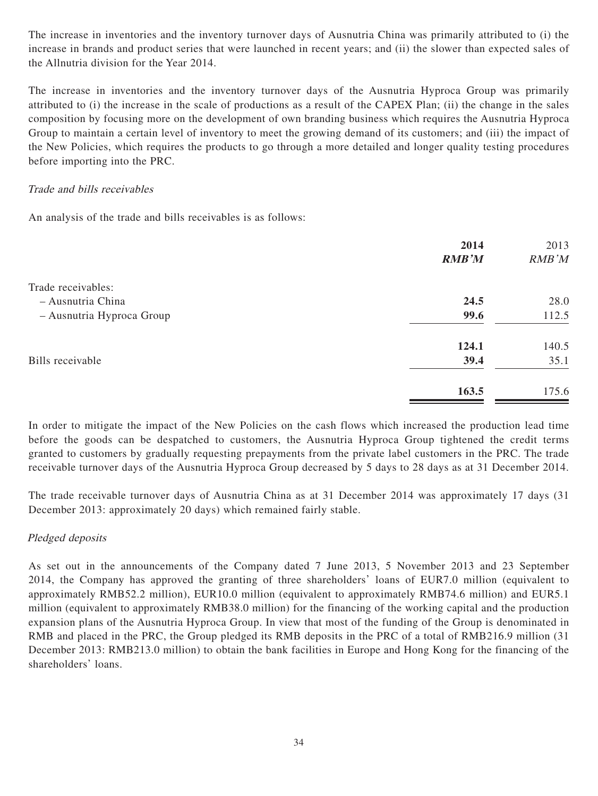The increase in inventories and the inventory turnover days of Ausnutria China was primarily attributed to (i) the increase in brands and product series that were launched in recent years; and (ii) the slower than expected sales of the Allnutria division for the Year 2014.

The increase in inventories and the inventory turnover days of the Ausnutria Hyproca Group was primarily attributed to (i) the increase in the scale of productions as a result of the CAPEX Plan; (ii) the change in the sales composition by focusing more on the development of own branding business which requires the Ausnutria Hyproca Group to maintain a certain level of inventory to meet the growing demand of its customers; and (iii) the impact of the New Policies, which requires the products to go through a more detailed and longer quality testing procedures before importing into the PRC.

## Trade and bills receivables

An analysis of the trade and bills receivables is as follows:

|                           | 2014         | 2013  |
|---------------------------|--------------|-------|
|                           | <b>RMB'M</b> | RMB'M |
| Trade receivables:        |              |       |
| - Ausnutria China         | 24.5         | 28.0  |
| - Ausnutria Hyproca Group | 99.6         | 112.5 |
|                           | 124.1        | 140.5 |
| Bills receivable          | 39.4         | 35.1  |
|                           | 163.5        | 175.6 |
|                           |              |       |

In order to mitigate the impact of the New Policies on the cash flows which increased the production lead time before the goods can be despatched to customers, the Ausnutria Hyproca Group tightened the credit terms granted to customers by gradually requesting prepayments from the private label customers in the PRC. The trade receivable turnover days of the Ausnutria Hyproca Group decreased by 5 days to 28 days as at 31 December 2014.

The trade receivable turnover days of Ausnutria China as at 31 December 2014 was approximately 17 days (31 December 2013: approximately 20 days) which remained fairly stable.

# Pledged deposits

As set out in the announcements of the Company dated 7 June 2013, 5 November 2013 and 23 September 2014, the Company has approved the granting of three shareholders' loans of EUR7.0 million (equivalent to approximately RMB52.2 million), EUR10.0 million (equivalent to approximately RMB74.6 million) and EUR5.1 million (equivalent to approximately RMB38.0 million) for the financing of the working capital and the production expansion plans of the Ausnutria Hyproca Group. In view that most of the funding of the Group is denominated in RMB and placed in the PRC, the Group pledged its RMB deposits in the PRC of a total of RMB216.9 million (31 December 2013: RMB213.0 million) to obtain the bank facilities in Europe and Hong Kong for the financing of the shareholders' loans.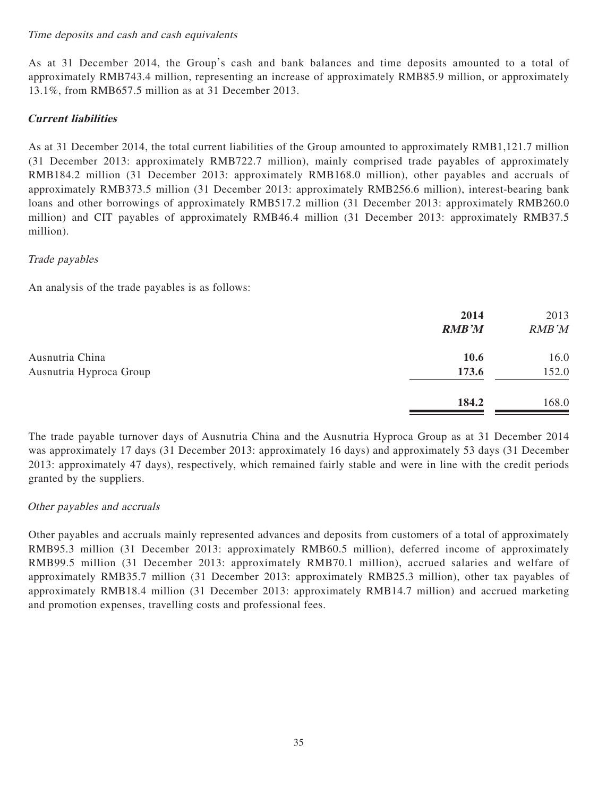### Time deposits and cash and cash equivalents

As at 31 December 2014, the Group's cash and bank balances and time deposits amounted to a total of approximately RMB743.4 million, representing an increase of approximately RMB85.9 million, or approximately 13.1%, from RMB657.5 million as at 31 December 2013.

# **Current liabilities**

As at 31 December 2014, the total current liabilities of the Group amounted to approximately RMB1,121.7 million (31 December 2013: approximately RMB722.7 million), mainly comprised trade payables of approximately RMB184.2 million (31 December 2013: approximately RMB168.0 million), other payables and accruals of approximately RMB373.5 million (31 December 2013: approximately RMB256.6 million), interest-bearing bank loans and other borrowings of approximately RMB517.2 million (31 December 2013: approximately RMB260.0 million) and CIT payables of approximately RMB46.4 million (31 December 2013: approximately RMB37.5 million).

## Trade payables

An analysis of the trade payables is as follows:

|                         | 2014<br><b>RMB'M</b> | 2013<br>RMB'M |
|-------------------------|----------------------|---------------|
| Ausnutria China         | 10.6                 | 16.0          |
| Ausnutria Hyproca Group | 173.6                | 152.0         |
|                         | 184.2                | 168.0         |

The trade payable turnover days of Ausnutria China and the Ausnutria Hyproca Group as at 31 December 2014 was approximately 17 days (31 December 2013: approximately 16 days) and approximately 53 days (31 December 2013: approximately 47 days), respectively, which remained fairly stable and were in line with the credit periods granted by the suppliers.

### Other payables and accruals

Other payables and accruals mainly represented advances and deposits from customers of a total of approximately RMB95.3 million (31 December 2013: approximately RMB60.5 million), deferred income of approximately RMB99.5 million (31 December 2013: approximately RMB70.1 million), accrued salaries and welfare of approximately RMB35.7 million (31 December 2013: approximately RMB25.3 million), other tax payables of approximately RMB18.4 million (31 December 2013: approximately RMB14.7 million) and accrued marketing and promotion expenses, travelling costs and professional fees.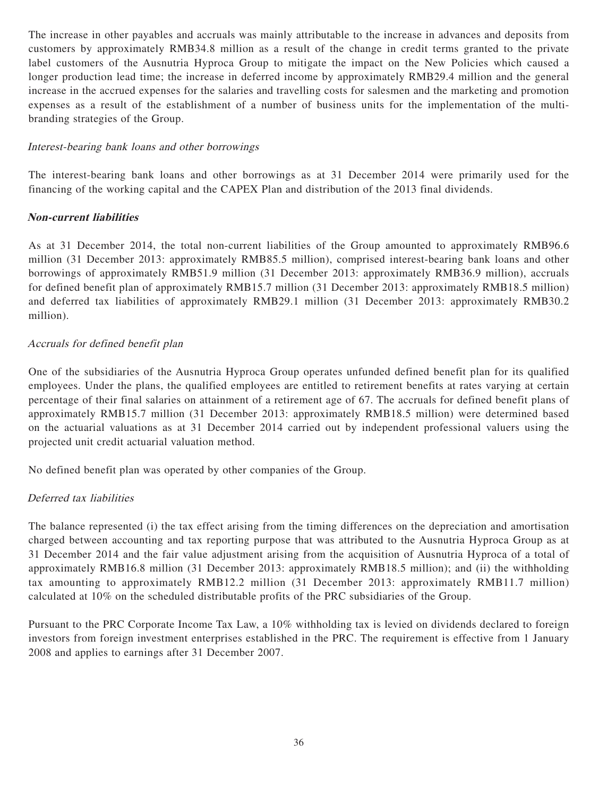The increase in other payables and accruals was mainly attributable to the increase in advances and deposits from customers by approximately RMB34.8 million as a result of the change in credit terms granted to the private label customers of the Ausnutria Hyproca Group to mitigate the impact on the New Policies which caused a longer production lead time; the increase in deferred income by approximately RMB29.4 million and the general increase in the accrued expenses for the salaries and travelling costs for salesmen and the marketing and promotion expenses as a result of the establishment of a number of business units for the implementation of the multibranding strategies of the Group.

## Interest-bearing bank loans and other borrowings

The interest-bearing bank loans and other borrowings as at 31 December 2014 were primarily used for the financing of the working capital and the CAPEX Plan and distribution of the 2013 final dividends.

## **Non-current liabilities**

As at 31 December 2014, the total non-current liabilities of the Group amounted to approximately RMB96.6 million (31 December 2013: approximately RMB85.5 million), comprised interest-bearing bank loans and other borrowings of approximately RMB51.9 million (31 December 2013: approximately RMB36.9 million), accruals for defined benefit plan of approximately RMB15.7 million (31 December 2013: approximately RMB18.5 million) and deferred tax liabilities of approximately RMB29.1 million (31 December 2013: approximately RMB30.2 million).

## Accruals for defined benefit plan

One of the subsidiaries of the Ausnutria Hyproca Group operates unfunded defined benefit plan for its qualified employees. Under the plans, the qualified employees are entitled to retirement benefits at rates varying at certain percentage of their final salaries on attainment of a retirement age of 67. The accruals for defined benefit plans of approximately RMB15.7 million (31 December 2013: approximately RMB18.5 million) were determined based on the actuarial valuations as at 31 December 2014 carried out by independent professional valuers using the projected unit credit actuarial valuation method.

No defined benefit plan was operated by other companies of the Group.

# Deferred tax liabilities

The balance represented (i) the tax effect arising from the timing differences on the depreciation and amortisation charged between accounting and tax reporting purpose that was attributed to the Ausnutria Hyproca Group as at 31 December 2014 and the fair value adjustment arising from the acquisition of Ausnutria Hyproca of a total of approximately RMB16.8 million (31 December 2013: approximately RMB18.5 million); and (ii) the withholding tax amounting to approximately RMB12.2 million (31 December 2013: approximately RMB11.7 million) calculated at 10% on the scheduled distributable profits of the PRC subsidiaries of the Group.

Pursuant to the PRC Corporate Income Tax Law, a 10% withholding tax is levied on dividends declared to foreign investors from foreign investment enterprises established in the PRC. The requirement is effective from 1 January 2008 and applies to earnings after 31 December 2007.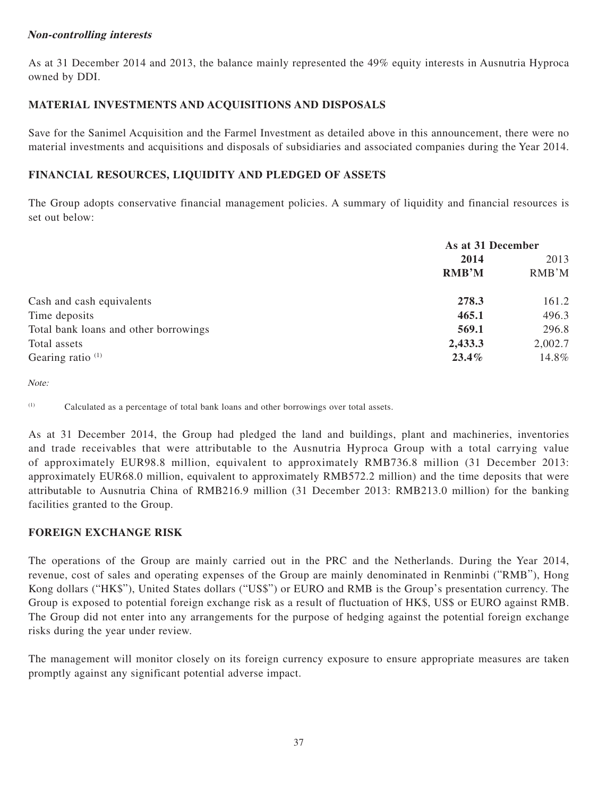# **Non-controlling interests**

As at 31 December 2014 and 2013, the balance mainly represented the 49% equity interests in Ausnutria Hyproca owned by DDI.

# **MATERIAL INVESTMENTS AND ACQUISITIONS AND DISPOSALS**

Save for the Sanimel Acquisition and the Farmel Investment as detailed above in this announcement, there were no material investments and acquisitions and disposals of subsidiaries and associated companies during the Year 2014.

# **FINANCIAL RESOURCES, LIQUIDITY AND PLEDGED OF ASSETS**

The Group adopts conservative financial management policies. A summary of liquidity and financial resources is set out below:

|                                       | As at 31 December |         |  |
|---------------------------------------|-------------------|---------|--|
|                                       | 2014              | 2013    |  |
|                                       | <b>RMB'M</b>      | RMB'M   |  |
| Cash and cash equivalents             | 278.3             | 161.2   |  |
| Time deposits                         | 465.1             | 496.3   |  |
| Total bank loans and other borrowings | 569.1             | 296.8   |  |
| Total assets                          | 2,433.3           | 2,002.7 |  |
| Gearing ratio $(1)$                   | $23.4\%$          | 14.8%   |  |

Note:

(1) Calculated as a percentage of total bank loans and other borrowings over total assets.

As at 31 December 2014, the Group had pledged the land and buildings, plant and machineries, inventories and trade receivables that were attributable to the Ausnutria Hyproca Group with a total carrying value of approximately EUR98.8 million, equivalent to approximately RMB736.8 million (31 December 2013: approximately EUR68.0 million, equivalent to approximately RMB572.2 million) and the time deposits that were attributable to Ausnutria China of RMB216.9 million (31 December 2013: RMB213.0 million) for the banking facilities granted to the Group.

# **FOREIGN EXCHANGE RISK**

The operations of the Group are mainly carried out in the PRC and the Netherlands. During the Year 2014, revenue, cost of sales and operating expenses of the Group are mainly denominated in Renminbi ("RMB"), Hong Kong dollars ("HK\$"), United States dollars ("US\$") or EURO and RMB is the Group's presentation currency. The Group is exposed to potential foreign exchange risk as a result of fluctuation of HK\$, US\$ or EURO against RMB. The Group did not enter into any arrangements for the purpose of hedging against the potential foreign exchange risks during the year under review.

The management will monitor closely on its foreign currency exposure to ensure appropriate measures are taken promptly against any significant potential adverse impact.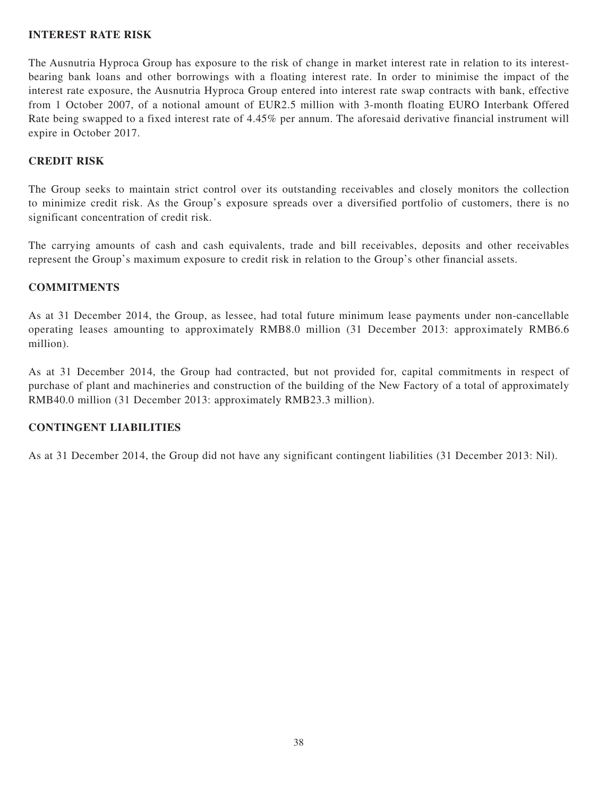### **INTEREST RATE RISK**

The Ausnutria Hyproca Group has exposure to the risk of change in market interest rate in relation to its interestbearing bank loans and other borrowings with a floating interest rate. In order to minimise the impact of the interest rate exposure, the Ausnutria Hyproca Group entered into interest rate swap contracts with bank, effective from 1 October 2007, of a notional amount of EUR2.5 million with 3-month floating EURO Interbank Offered Rate being swapped to a fixed interest rate of 4.45% per annum. The aforesaid derivative financial instrument will expire in October 2017.

# **CREDIT RISK**

The Group seeks to maintain strict control over its outstanding receivables and closely monitors the collection to minimize credit risk. As the Group's exposure spreads over a diversified portfolio of customers, there is no significant concentration of credit risk.

The carrying amounts of cash and cash equivalents, trade and bill receivables, deposits and other receivables represent the Group's maximum exposure to credit risk in relation to the Group's other financial assets.

## **COMMITMENTS**

As at 31 December 2014, the Group, as lessee, had total future minimum lease payments under non-cancellable operating leases amounting to approximately RMB8.0 million (31 December 2013: approximately RMB6.6 million).

As at 31 December 2014, the Group had contracted, but not provided for, capital commitments in respect of purchase of plant and machineries and construction of the building of the New Factory of a total of approximately RMB40.0 million (31 December 2013: approximately RMB23.3 million).

### **CONTINGENT LIABILITIES**

As at 31 December 2014, the Group did not have any significant contingent liabilities (31 December 2013: Nil).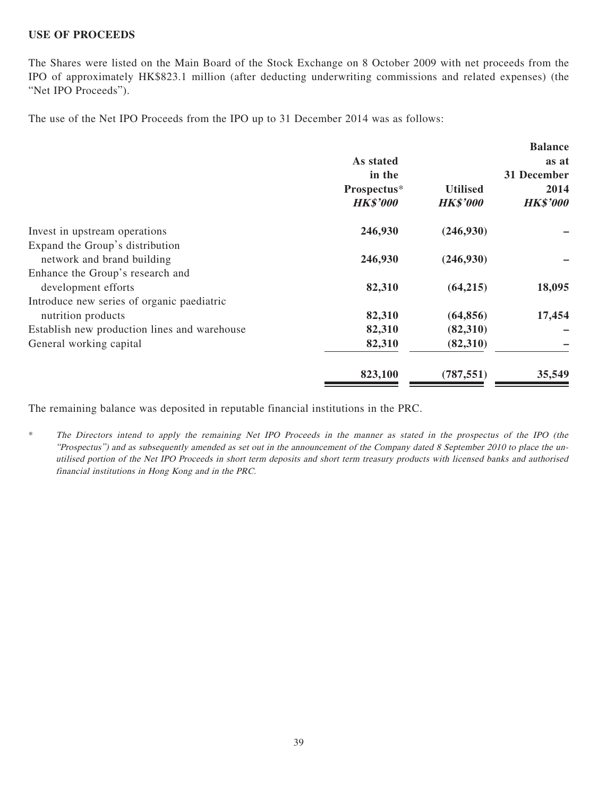#### **USE OF PROCEEDS**

The Shares were listed on the Main Board of the Stock Exchange on 8 October 2009 with net proceeds from the IPO of approximately HK\$823.1 million (after deducting underwriting commissions and related expenses) (the "Net IPO Proceeds").

The use of the Net IPO Proceeds from the IPO up to 31 December 2014 was as follows:

|                                              |                 |                 | <b>Balance</b>  |
|----------------------------------------------|-----------------|-----------------|-----------------|
|                                              | As stated       |                 | as at           |
|                                              | in the          |                 | 31 December     |
|                                              | Prospectus*     | <b>Utilised</b> | 2014            |
|                                              | <b>HK\$'000</b> | <b>HK\$'000</b> | <b>HK\$'000</b> |
| Invest in upstream operations                | 246,930         | (246,930)       |                 |
| Expand the Group's distribution              |                 |                 |                 |
| network and brand building                   | 246,930         | (246,930)       |                 |
| Enhance the Group's research and             |                 |                 |                 |
| development efforts                          | 82,310          | (64,215)        | 18,095          |
| Introduce new series of organic paediatric   |                 |                 |                 |
| nutrition products                           | 82,310          | (64, 856)       | 17,454          |
| Establish new production lines and warehouse | 82,310          | (82,310)        |                 |
| General working capital                      | 82,310          | (82,310)        |                 |
|                                              | 823,100         | (787, 551)      | 35,549          |

The remaining balance was deposited in reputable financial institutions in the PRC.

\* The Directors intend to apply the remaining Net IPO Proceeds in the manner as stated in the prospectus of the IPO (the "Prospectus") and as subsequently amended as set out in the announcement of the Company dated 8 September 2010 to place the unutilised portion of the Net IPO Proceeds in short term deposits and short term treasury products with licensed banks and authorised financial institutions in Hong Kong and in the PRC.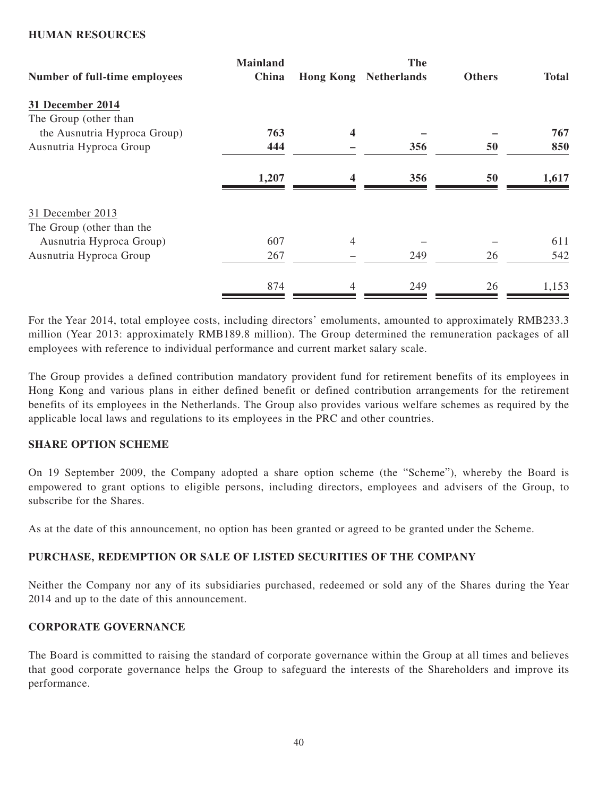#### **HUMAN RESOURCES**

|                               | <b>Mainland</b> |                         | <b>The</b>         |               |              |
|-------------------------------|-----------------|-------------------------|--------------------|---------------|--------------|
| Number of full-time employees | China           | <b>Hong Kong</b>        | <b>Netherlands</b> | <b>Others</b> | <b>Total</b> |
| 31 December 2014              |                 |                         |                    |               |              |
| The Group (other than         |                 |                         |                    |               |              |
| the Ausnutria Hyproca Group)  | 763             | $\overline{\mathbf{4}}$ |                    |               | 767          |
| Ausnutria Hyproca Group       | 444             |                         | 356                | 50            | 850          |
|                               | 1,207           | $\boldsymbol{4}$        | 356                | 50            | 1,617        |
| 31 December 2013              |                 |                         |                    |               |              |
| The Group (other than the     |                 |                         |                    |               |              |
| Ausnutria Hyproca Group)      | 607             | $\overline{4}$          |                    |               | 611          |
| Ausnutria Hyproca Group       | 267             |                         | 249                | 26            | 542          |
|                               | 874             | 4                       | 249                | 26            | 1,153        |

For the Year 2014, total employee costs, including directors' emoluments, amounted to approximately RMB233.3 million (Year 2013: approximately RMB189.8 million). The Group determined the remuneration packages of all employees with reference to individual performance and current market salary scale.

The Group provides a defined contribution mandatory provident fund for retirement benefits of its employees in Hong Kong and various plans in either defined benefit or defined contribution arrangements for the retirement benefits of its employees in the Netherlands. The Group also provides various welfare schemes as required by the applicable local laws and regulations to its employees in the PRC and other countries.

### **SHARE OPTION SCHEME**

On 19 September 2009, the Company adopted a share option scheme (the "Scheme"), whereby the Board is empowered to grant options to eligible persons, including directors, employees and advisers of the Group, to subscribe for the Shares.

As at the date of this announcement, no option has been granted or agreed to be granted under the Scheme.

### **PURCHASE, REDEMPTION OR SALE OF LISTED SECURITIES OF THE COMPANY**

Neither the Company nor any of its subsidiaries purchased, redeemed or sold any of the Shares during the Year 2014 and up to the date of this announcement.

### **CORPORATE GOVERNANCE**

The Board is committed to raising the standard of corporate governance within the Group at all times and believes that good corporate governance helps the Group to safeguard the interests of the Shareholders and improve its performance.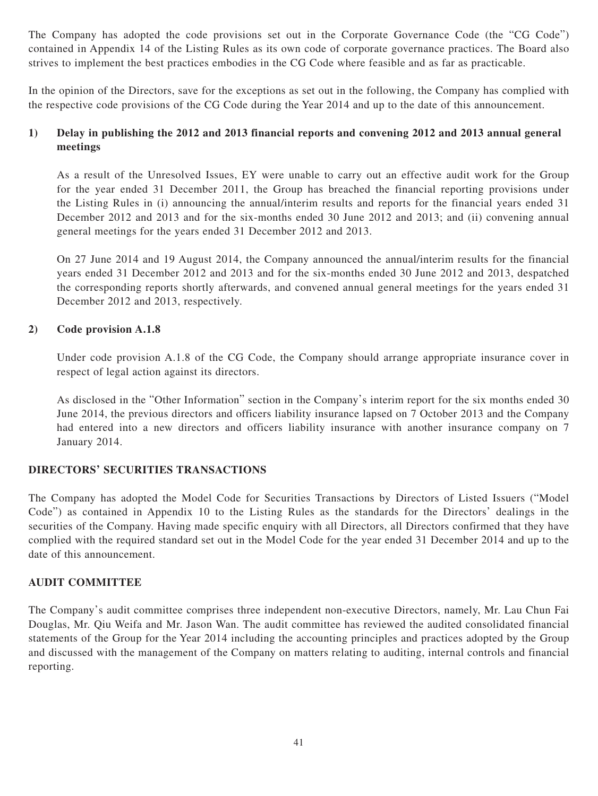The Company has adopted the code provisions set out in the Corporate Governance Code (the "CG Code") contained in Appendix 14 of the Listing Rules as its own code of corporate governance practices. The Board also strives to implement the best practices embodies in the CG Code where feasible and as far as practicable.

In the opinion of the Directors, save for the exceptions as set out in the following, the Company has complied with the respective code provisions of the CG Code during the Year 2014 and up to the date of this announcement.

# **1) Delay in publishing the 2012 and 2013 financial reports and convening 2012 and 2013 annual general meetings**

As a result of the Unresolved Issues, EY were unable to carry out an effective audit work for the Group for the year ended 31 December 2011, the Group has breached the financial reporting provisions under the Listing Rules in (i) announcing the annual/interim results and reports for the financial years ended 31 December 2012 and 2013 and for the six-months ended 30 June 2012 and 2013; and (ii) convening annual general meetings for the years ended 31 December 2012 and 2013.

On 27 June 2014 and 19 August 2014, the Company announced the annual/interim results for the financial years ended 31 December 2012 and 2013 and for the six-months ended 30 June 2012 and 2013, despatched the corresponding reports shortly afterwards, and convened annual general meetings for the years ended 31 December 2012 and 2013, respectively.

# **2) Code provision A.1.8**

Under code provision A.1.8 of the CG Code, the Company should arrange appropriate insurance cover in respect of legal action against its directors.

As disclosed in the "Other Information" section in the Company's interim report for the six months ended 30 June 2014, the previous directors and officers liability insurance lapsed on 7 October 2013 and the Company had entered into a new directors and officers liability insurance with another insurance company on 7 January 2014.

### **DIRECTORS' SECURITIES TRANSACTIONS**

The Company has adopted the Model Code for Securities Transactions by Directors of Listed Issuers ("Model Code") as contained in Appendix 10 to the Listing Rules as the standards for the Directors' dealings in the securities of the Company. Having made specific enquiry with all Directors, all Directors confirmed that they have complied with the required standard set out in the Model Code for the year ended 31 December 2014 and up to the date of this announcement.

### **AUDIT COMMITTEE**

The Company's audit committee comprises three independent non-executive Directors, namely, Mr. Lau Chun Fai Douglas, Mr. Qiu Weifa and Mr. Jason Wan. The audit committee has reviewed the audited consolidated financial statements of the Group for the Year 2014 including the accounting principles and practices adopted by the Group and discussed with the management of the Company on matters relating to auditing, internal controls and financial reporting.